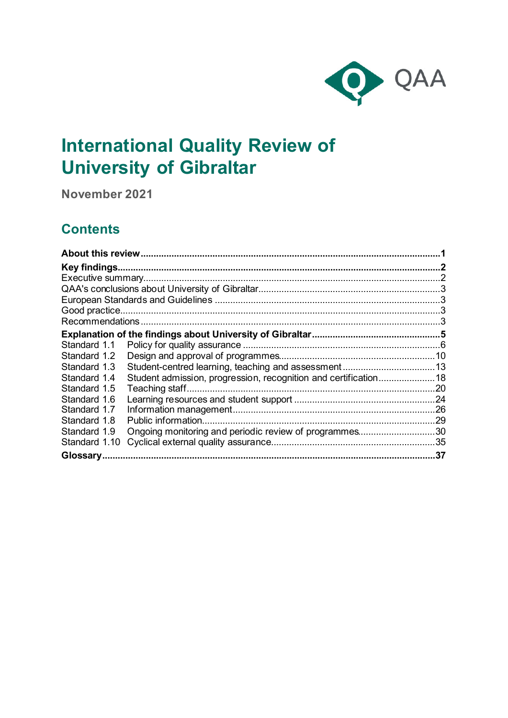

# **International Quality Review of University of Gibraltar**

**November 2021** 

# **Contents**

| Standard 1.1  |                                                                 |  |
|---------------|-----------------------------------------------------------------|--|
| Standard 1.2  |                                                                 |  |
| Standard 1.3  |                                                                 |  |
| Standard 1.4  | Student admission, progression, recognition and certification18 |  |
| Standard 1.5  |                                                                 |  |
| Standard 1.6  |                                                                 |  |
| Standard 1.7  |                                                                 |  |
| Standard 1.8  | Public information                                              |  |
| Standard 1.9  | Ongoing monitoring and periodic review of programmes30          |  |
| Standard 1.10 |                                                                 |  |
|               |                                                                 |  |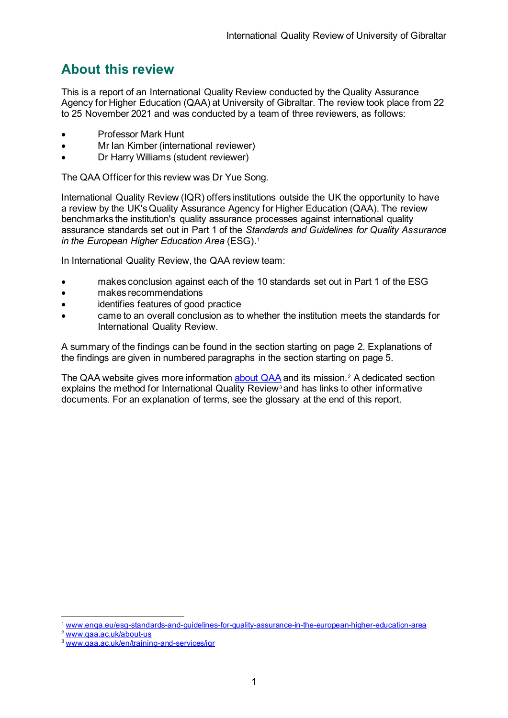# <span id="page-1-0"></span>**About this review**

This is a report of an International Quality Review conducted by the Quality Assurance Agency for Higher Education (QAA) at University of Gibraltar. The review took place from 22 to 25 November 2021 and was conducted by a team of three reviewers, as follows:

- Professor Mark Hunt
- Mr Ian Kimber (international reviewer)
- Dr Harry Williams (student reviewer)

The QAA Officer for this review was Dr Yue Song.

International Quality Review (IQR) offers institutions outside the UK the opportunity to have a review by the UK's Quality Assurance Agency for Higher Education (QAA). The review benchmarks the institution's quality assurance processes against international quality assurance standards set out in Part 1 of the *Standards and Guidelines for Quality Assurance in the European Higher Education Area* (ESG).[1](#page-1-1)

In International Quality Review, the QAA review team:

- makes conclusion against each of the 10 standards set out in Part 1 of the ESG
- makes recommendations
- identifies features of good practice
- came to an overall conclusion as to whether the institution meets the standards for International Quality Review.

A summary of the findings can be found in the section starting on page 2. Explanations of the findings are given in numbered paragraphs in the section starting on page 5.

The QAA website gives more information [about QAA](http://www.qaa.ac.uk/about-us) and its mission.<sup>[2](#page-1-2)</sup> A dedicated section explains the method for International Quality Review<sup>[3](#page-1-3)</sup> and has links to other informative documents. For an explanation of terms, see the glossary at the end of this report.

<span id="page-1-1"></span><sup>1</sup> [www.enqa.eu/esg-standards-and-guidelines-for-quality-assurance-in-the-european-higher-education-area](https://www.enqa.eu/esg-standards-and-guidelines-for-quality-assurance-in-the-european-higher-education-area/)

<span id="page-1-2"></span><sup>2</sup> [www.qaa.ac.uk/about-us](http://www.qaa.ac.uk/about-us)

<span id="page-1-3"></span><sup>3</sup> [www.qaa.ac.uk/en/training-and-services/iqr](https://www.qaa.ac.uk/en/training-and-services/iqr)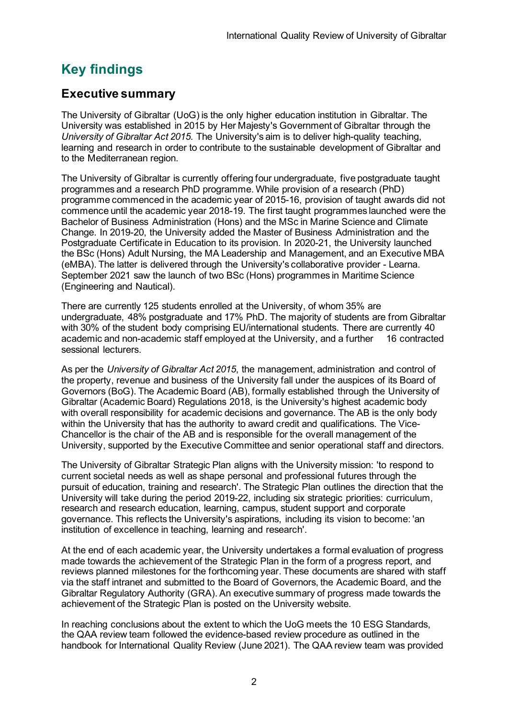# <span id="page-2-0"></span>**Key findings**

# <span id="page-2-1"></span>**Executive summary**

The University of Gibraltar (UoG) is the only higher education institution in Gibraltar. The University was established in 2015 by Her Majesty's Government of Gibraltar through the *University of Gibraltar Act 2015*. The University's aim is to deliver high-quality teaching, learning and research in order to contribute to the sustainable development of Gibraltar and to the Mediterranean region.

The University of Gibraltar is currently offering four undergraduate, five postgraduate taught programmes and a research PhD programme. While provision of a research (PhD) programme commenced in the academic year of 2015-16, provision of taught awards did not commence until the academic year 2018-19. The first taught programmes launched were the Bachelor of Business Administration (Hons) and the MSc in Marine Science and Climate Change. In 2019-20, the University added the Master of Business Administration and the Postgraduate Certificate in Education to its provision. In 2020-21, the University launched the BSc (Hons) Adult Nursing, the MA Leadership and Management, and an Executive MBA (eMBA). The latter is delivered through the University's collaborative provider - Learna. September 2021 saw the launch of two BSc (Hons) programmes in Maritime Science (Engineering and Nautical).

There are currently 125 students enrolled at the University, of whom 35% are undergraduate, 48% postgraduate and 17% PhD. The majority of students are from Gibraltar with 30% of the student body comprising EU/international students. There are currently 40 academic and non-academic staff employed at the University, and a further 16 contracted sessional lecturers.

As per the *University of Gibraltar Act 2015*, the management, administration and control of the property, revenue and business of the University fall under the auspices of its Board of Governors (BoG). The Academic Board (AB), formally established through the University of Gibraltar (Academic Board) Regulations 2018, is the University's highest academic body with overall responsibility for academic decisions and governance. The AB is the only body within the University that has the authority to award credit and qualifications. The Vice-Chancellor is the chair of the AB and is responsible for the overall management of the University, supported by the Executive Committee and senior operational staff and directors.

The University of Gibraltar Strategic Plan aligns with the University mission: 'to respond to current societal needs as well as shape personal and professional futures through the pursuit of education, training and research'. The Strategic Plan outlines the direction that the University will take during the period 2019-22, including six strategic priorities: curriculum, research and research education, learning, campus, student support and corporate governance. This reflects the University's aspirations, including its vision to become: 'an institution of excellence in teaching, learning and research'.

At the end of each academic year, the University undertakes a formal evaluation of progress made towards the achievement of the Strategic Plan in the form of a progress report, and reviews planned milestones for the forthcoming year. These documents are shared with staff via the staff intranet and submitted to the Board of Governors, the Academic Board, and the Gibraltar Regulatory Authority (GRA). An executive summary of progress made towards the achievement of the Strategic Plan is posted on the University website.

In reaching conclusions about the extent to which the UoG meets the 10 ESG Standards, the QAA review team followed the evidence-based review procedure as outlined in the handbook for International Quality Review (June 2021). The QAA review team was provided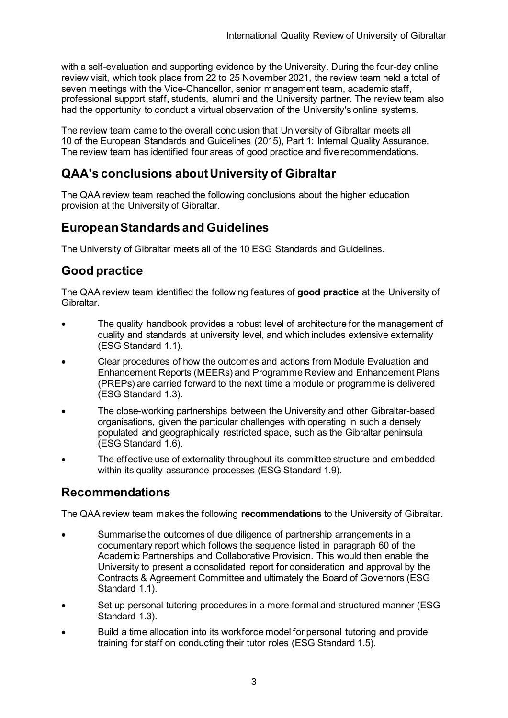with a self-evaluation and supporting evidence by the University. During the four-day online review visit, which took place from 22 to 25 November 2021, the review team held a total of seven meetings with the Vice-Chancellor, senior management team, academic staff, professional support staff, students, alumni and the University partner. The review team also had the opportunity to conduct a virtual observation of the University's online systems.

The review team came to the overall conclusion that University of Gibraltar meets all 10 of the European Standards and Guidelines (2015), Part 1: Internal Quality Assurance. The review team has identified four areas of good practice and five recommendations.

# <span id="page-3-0"></span>**QAA's conclusions about University of Gibraltar**

The QAA review team reached the following conclusions about the higher education provision at the University of Gibraltar.

# <span id="page-3-1"></span>**European Standards and Guidelines**

The University of Gibraltar meets all of the 10 ESG Standards and Guidelines.

# <span id="page-3-2"></span>**Good practice**

The QAA review team identified the following features of **good practice** at the University of Gibraltar.

- The quality handbook provides a robust level of architecture for the management of quality and standards at university level, and which includes extensive externality (ESG Standard 1.1).
- Clear procedures of how the outcomes and actions from Module Evaluation and Enhancement Reports (MEERs) and Programme Review and Enhancement Plans (PREPs) are carried forward to the next time a module or programme is delivered (ESG Standard 1.3).
- The close-working partnerships between the University and other Gibraltar-based organisations, given the particular challenges with operating in such a densely populated and geographically restricted space, such as the Gibraltar peninsula (ESG Standard 1.6).
- The effective use of externality throughout its committee structure and embedded within its quality assurance processes (ESG Standard 1.9).

## <span id="page-3-3"></span>**Recommendations**

The QAA review team makes the following **recommendations** to the University of Gibraltar.

- Summarise the outcomes of due diligence of partnership arrangements in a documentary report which follows the sequence listed in paragraph 60 of the Academic Partnerships and Collaborative Provision. This would then enable the University to present a consolidated report for consideration and approval by the Contracts & Agreement Committee and ultimately the Board of Governors (ESG Standard 1.1).
- Set up personal tutoring procedures in a more formal and structured manner (ESG Standard 1.3).
- Build a time allocation into its workforce model for personal tutoring and provide training for staff on conducting their tutor roles (ESG Standard 1.5).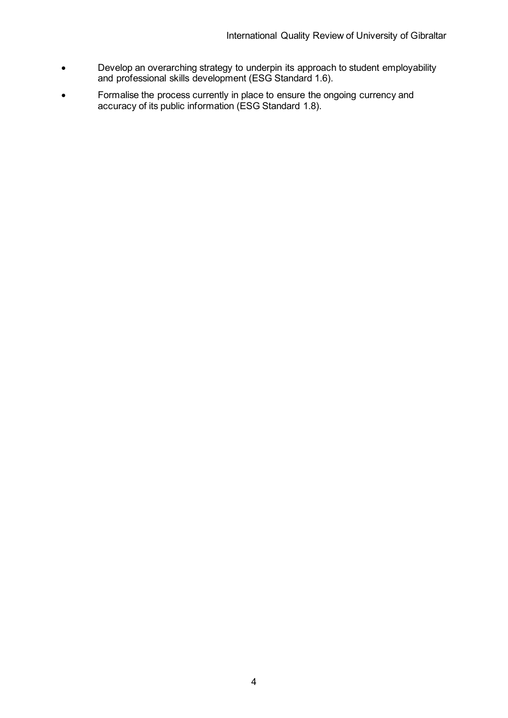- Develop an overarching strategy to underpin its approach to student employability and professional skills development (ESG Standard 1.6).
- Formalise the process currently in place to ensure the ongoing currency and accuracy of its public information (ESG Standard 1.8).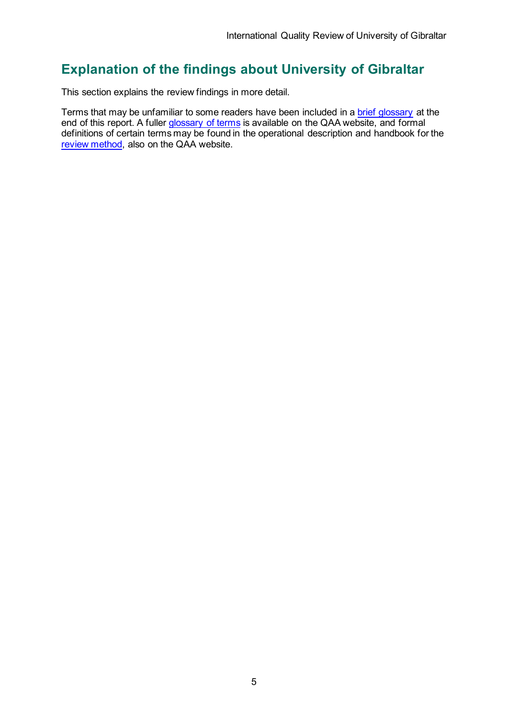# <span id="page-5-0"></span>**Explanation of the findings about University of Gibraltar**

This section explains the review findings in more detail.

Terms that may be unfamiliar to some readers have been included in a [brief glossary](#page-37-0) at the end of this report. A fuller [glossary of terms](https://www.qaa.ac.uk/Glossary) is available on the QAA website, and formal definitions of certain terms may be found in the operational description and handbook for the [review method,](https://www.qaa.ac.uk/training-and-services/iqr) also on the QAA website.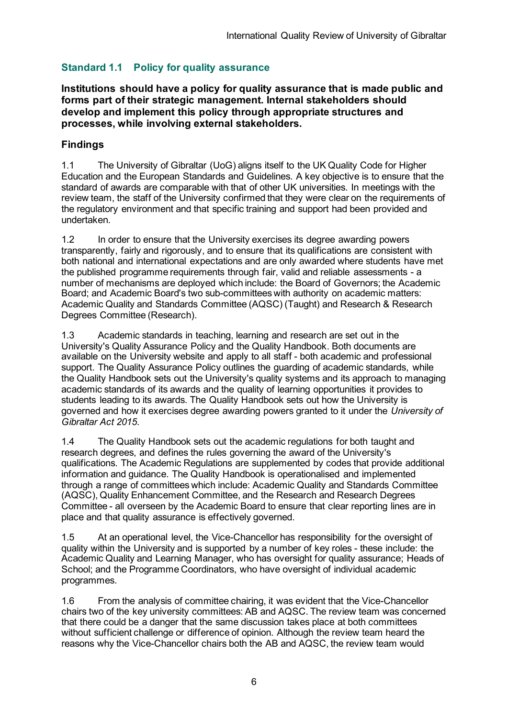## <span id="page-6-0"></span>**Standard 1.1 Policy for quality assurance**

**Institutions should have a policy for quality assurance that is made public and forms part of their strategic management. Internal stakeholders should develop and implement this policy through appropriate structures and processes, while involving external stakeholders.**

## **Findings**

1.1 The University of Gibraltar (UoG) aligns itself to the UK Quality Code for Higher Education and the European Standards and Guidelines. A key objective is to ensure that the standard of awards are comparable with that of other UK universities. In meetings with the review team, the staff of the University confirmed that they were clear on the requirements of the regulatory environment and that specific training and support had been provided and undertaken.

1.2 In order to ensure that the University exercises its degree awarding powers transparently, fairly and rigorously, and to ensure that its qualifications are consistent with both national and international expectations and are only awarded where students have met the published programme requirements through fair, valid and reliable assessments - a number of mechanisms are deployed which include: the Board of Governors; the Academic Board; and Academic Board's two sub-committees with authority on academic matters: Academic Quality and Standards Committee (AQSC) (Taught) and Research & Research Degrees Committee (Research).

1.3 Academic standards in teaching, learning and research are set out in the University's Quality Assurance Policy and the Quality Handbook. Both documents are available on the University website and apply to all staff - both academic and professional support. The Quality Assurance Policy outlines the guarding of academic standards, while the Quality Handbook sets out the University's quality systems and its approach to managing academic standards of its awards and the quality of learning opportunities it provides to students leading to its awards. The Quality Handbook sets out how the University is governed and how it exercises degree awarding powers granted to it under the *University of Gibraltar Act 2015*.

1.4 The Quality Handbook sets out the academic regulations for both taught and research degrees, and defines the rules governing the award of the University's qualifications. The Academic Regulations are supplemented by codes that provide additional information and guidance. The Quality Handbook is operationalised and implemented through a range of committees which include: Academic Quality and Standards Committee (AQSC), Quality Enhancement Committee, and the Research and Research Degrees Committee - all overseen by the Academic Board to ensure that clear reporting lines are in place and that quality assurance is effectively governed.

1.5 At an operational level, the Vice-Chancellor has responsibility for the oversight of quality within the University and is supported by a number of key roles - these include: the Academic Quality and Learning Manager, who has oversight for quality assurance; Heads of School; and the Programme Coordinators, who have oversight of individual academic programmes.

1.6 From the analysis of committee chairing, it was evident that the Vice-Chancellor chairs two of the key university committees: AB and AQSC. The review team was concerned that there could be a danger that the same discussion takes place at both committees without sufficient challenge or difference of opinion. Although the review team heard the reasons why the Vice-Chancellor chairs both the AB and AQSC, the review team would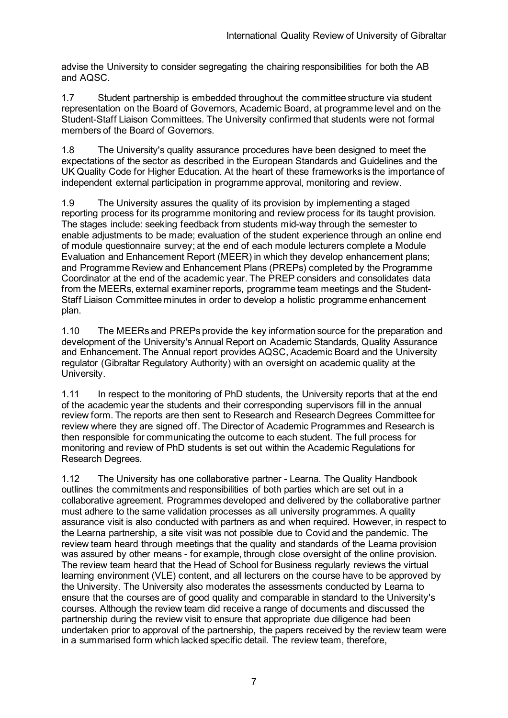advise the University to consider segregating the chairing responsibilities for both the AB and AQSC.

1.7 Student partnership is embedded throughout the committee structure via student representation on the Board of Governors, Academic Board, at programme level and on the Student-Staff Liaison Committees. The University confirmed that students were not formal members of the Board of Governors.

1.8 The University's quality assurance procedures have been designed to meet the expectations of the sector as described in the European Standards and Guidelines and the UK Quality Code for Higher Education. At the heart of these frameworks is the importance of independent external participation in programme approval, monitoring and review.

1.9 The University assures the quality of its provision by implementing a staged reporting process for its programme monitoring and review process for its taught provision. The stages include: seeking feedback from students mid-way through the semester to enable adjustments to be made; evaluation of the student experience through an online end of module questionnaire survey; at the end of each module lecturers complete a Module Evaluation and Enhancement Report (MEER) in which they develop enhancement plans; and Programme Review and Enhancement Plans (PREPs) completed by the Programme Coordinator at the end of the academic year. The PREP considers and consolidates data from the MEERs, external examiner reports, programme team meetings and the Student-Staff Liaison Committee minutes in order to develop a holistic programme enhancement plan.

1.10 The MEERs and PREPs provide the key information source for the preparation and development of the University's Annual Report on Academic Standards, Quality Assurance and Enhancement. The Annual report provides AQSC, Academic Board and the University regulator (Gibraltar Regulatory Authority) with an oversight on academic quality at the University.

1.11 In respect to the monitoring of PhD students, the University reports that at the end of the academic year the students and their corresponding supervisors fill in the annual review form. The reports are then sent to Research and Research Degrees Committee for review where they are signed off. The Director of Academic Programmes and Research is then responsible for communicating the outcome to each student. The full process for monitoring and review of PhD students is set out within the Academic Regulations for Research Degrees.

1.12 The University has one collaborative partner - Learna. The Quality Handbook outlines the commitments and responsibilities of both parties which are set out in a collaborative agreement. Programmes developed and delivered by the collaborative partner must adhere to the same validation processes as all university programmes. A quality assurance visit is also conducted with partners as and when required. However, in respect to the Learna partnership, a site visit was not possible due to Covid and the pandemic. The review team heard through meetings that the quality and standards of the Learna provision was assured by other means - for example, through close oversight of the online provision. The review team heard that the Head of School for Business regularly reviews the virtual learning environment (VLE) content, and all lecturers on the course have to be approved by the University. The University also moderates the assessments conducted by Learna to ensure that the courses are of good quality and comparable in standard to the University's courses. Although the review team did receive a range of documents and discussed the partnership during the review visit to ensure that appropriate due diligence had been undertaken prior to approval of the partnership, the papers received by the review team were in a summarised form which lacked specific detail. The review team, therefore,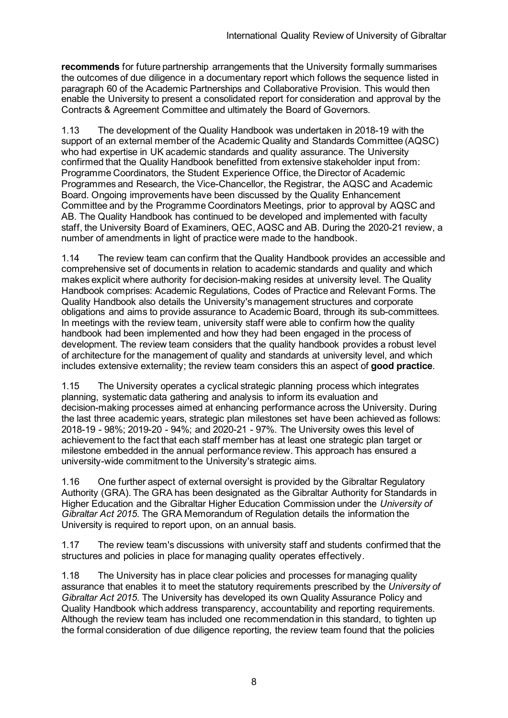**recommends** for future partnership arrangements that the University formally summarises the outcomes of due diligence in a documentary report which follows the sequence listed in paragraph 60 of the Academic Partnerships and Collaborative Provision. This would then enable the University to present a consolidated report for consideration and approval by the Contracts & Agreement Committee and ultimately the Board of Governors.

1.13 The development of the Quality Handbook was undertaken in 2018-19 with the support of an external member of the Academic Quality and Standards Committee (AQSC) who had expertise in UK academic standards and quality assurance. The University confirmed that the Quality Handbook benefitted from extensive stakeholder input from: Programme Coordinators, the Student Experience Office, the Director of Academic Programmes and Research, the Vice-Chancellor, the Registrar, the AQSC and Academic Board. Ongoing improvements have been discussed by the Quality Enhancement Committee and by the Programme Coordinators Meetings, prior to approval by AQSC and AB. The Quality Handbook has continued to be developed and implemented with faculty staff, the University Board of Examiners, QEC, AQSC and AB. During the 2020-21 review, a number of amendments in light of practice were made to the handbook.

1.14 The review team can confirm that the Quality Handbook provides an accessible and comprehensive set of documents in relation to academic standards and quality and which makes explicit where authority for decision-making resides at university level. The Quality Handbook comprises: Academic Regulations, Codes of Practice and Relevant Forms. The Quality Handbook also details the University's management structures and corporate obligations and aims to provide assurance to Academic Board, through its sub-committees. In meetings with the review team, university staff were able to confirm how the quality handbook had been implemented and how they had been engaged in the process of development. The review team considers that the quality handbook provides a robust level of architecture for the management of quality and standards at university level, and which includes extensive externality; the review team considers this an aspect of **good practice**.

1.15 The University operates a cyclical strategic planning process which integrates planning, systematic data gathering and analysis to inform its evaluation and decision-making processes aimed at enhancing performance across the University. During the last three academic years, strategic plan milestones set have been achieved as follows: 2018-19 - 98%; 2019-20 - 94%; and 2020-21 - 97%. The University owes this level of achievement to the fact that each staff member has at least one strategic plan target or milestone embedded in the annual performance review. This approach has ensured a university-wide commitment to the University's strategic aims.

1.16 One further aspect of external oversight is provided by the Gibraltar Regulatory Authority (GRA). The GRA has been designated as the Gibraltar Authority for Standards in Higher Education and the Gibraltar Higher Education Commission under the *University of Gibraltar Act 2015*. The GRA Memorandum of Regulation details the information the University is required to report upon, on an annual basis.

1.17 The review team's discussions with university staff and students confirmed that the structures and policies in place for managing quality operates effectively.

1.18 The University has in place clear policies and processes for managing quality assurance that enables it to meet the statutory requirements prescribed by the *University of Gibraltar Act 2015*. The University has developed its own Quality Assurance Policy and Quality Handbook which address transparency, accountability and reporting requirements. Although the review team has included one recommendation in this standard, to tighten up the formal consideration of due diligence reporting, the review team found that the policies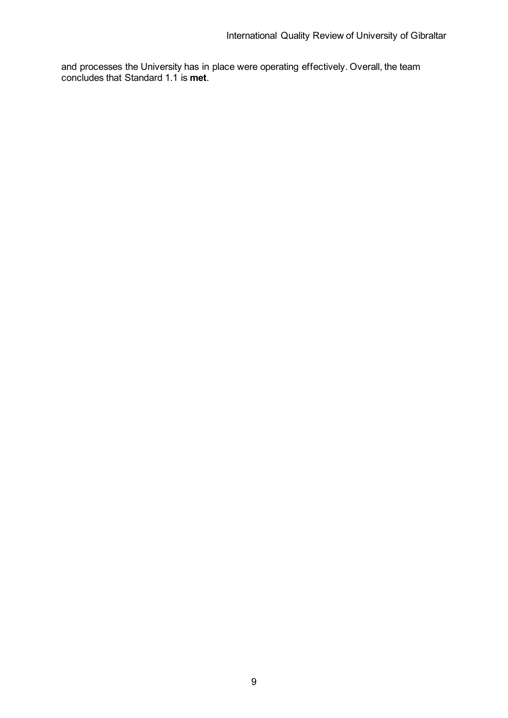and processes the University has in place were operating effectively. Overall, the team concludes that Standard 1.1 is **met**.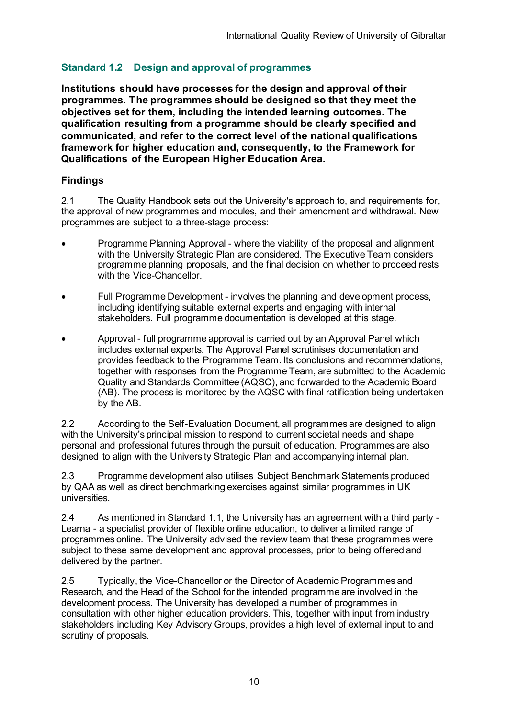## <span id="page-10-0"></span>**Standard 1.2 Design and approval of programmes**

**Institutions should have processes for the design and approval of their programmes. The programmes should be designed so that they meet the objectives set for them, including the intended learning outcomes. The qualification resulting from a programme should be clearly specified and communicated, and refer to the correct level of the national qualifications framework for higher education and, consequently, to the Framework for Qualifications of the European Higher Education Area.**

## **Findings**

2.1 The Quality Handbook sets out the University's approach to, and requirements for, the approval of new programmes and modules, and their amendment and withdrawal. New programmes are subject to a three-stage process:

- Programme Planning Approval where the viability of the proposal and alignment with the University Strategic Plan are considered. The Executive Team considers programme planning proposals, and the final decision on whether to proceed rests with the Vice-Chancellor.
- Full Programme Development involves the planning and development process, including identifying suitable external experts and engaging with internal stakeholders. Full programme documentation is developed at this stage.
- Approval full programme approval is carried out by an Approval Panel which includes external experts. The Approval Panel scrutinises documentation and provides feedback to the Programme Team. Its conclusions and recommendations, together with responses from the Programme Team, are submitted to the Academic Quality and Standards Committee (AQSC), and forwarded to the Academic Board (AB). The process is monitored by the AQSC with final ratification being undertaken by the AB.

2.2 According to the Self-Evaluation Document, all programmes are designed to align with the University's principal mission to respond to current societal needs and shape personal and professional futures through the pursuit of education. Programmes are also designed to align with the University Strategic Plan and accompanying internal plan.

2.3 Programme development also utilises Subject Benchmark Statements produced by QAA as well as direct benchmarking exercises against similar programmes in UK universities.

2.4 As mentioned in Standard 1.1, the University has an agreement with a third party - Learna - a specialist provider of flexible online education, to deliver a limited range of programmes online. The University advised the review team that these programmes were subject to these same development and approval processes, prior to being offered and delivered by the partner.

2.5 Typically, the Vice-Chancellor or the Director of Academic Programmes and Research, and the Head of the School for the intended programme are involved in the development process. The University has developed a number of programmes in consultation with other higher education providers. This, together with input from industry stakeholders including Key Advisory Groups, provides a high level of external input to and scrutiny of proposals.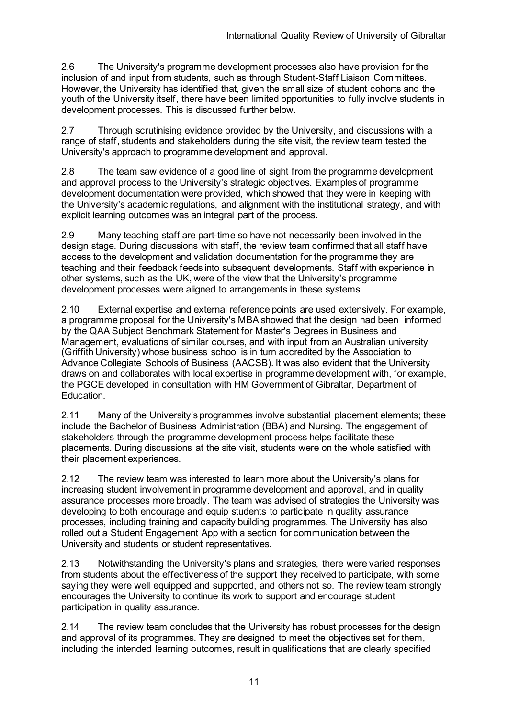2.6 The University's programme development processes also have provision for the inclusion of and input from students, such as through Student-Staff Liaison Committees. However, the University has identified that, given the small size of student cohorts and the youth of the University itself, there have been limited opportunities to fully involve students in development processes. This is discussed further below.

2.7 Through scrutinising evidence provided by the University, and discussions with a range of staff, students and stakeholders during the site visit, the review team tested the University's approach to programme development and approval.

2.8 The team saw evidence of a good line of sight from the programme development and approval process to the University's strategic objectives. Examples of programme development documentation were provided, which showed that they were in keeping with the University's academic regulations, and alignment with the institutional strategy, and with explicit learning outcomes was an integral part of the process.

2.9 Many teaching staff are part-time so have not necessarily been involved in the design stage. During discussions with staff, the review team confirmed that all staff have access to the development and validation documentation for the programme they are teaching and their feedback feeds into subsequent developments. Staff with experience in other systems, such as the UK, were of the view that the University's programme development processes were aligned to arrangements in these systems.

2.10 External expertise and external reference points are used extensively. For example, a programme proposal for the University's MBA showed that the design had been informed by the QAA Subject Benchmark Statement for Master's Degrees in Business and Management, evaluations of similar courses, and with input from an Australian university (Griffith University) whose business school is in turn accredited by the Association to Advance Collegiate Schools of Business (AACSB). It was also evident that the University draws on and collaborates with local expertise in programme development with, for example, the PGCE developed in consultation with HM Government of Gibraltar, Department of Education.

2.11 Many of the University's programmes involve substantial placement elements; these include the Bachelor of Business Administration (BBA) and Nursing. The engagement of stakeholders through the programme development process helps facilitate these placements. During discussions at the site visit, students were on the whole satisfied with their placement experiences.

2.12 The review team was interested to learn more about the University's plans for increasing student involvement in programme development and approval, and in quality assurance processes more broadly. The team was advised of strategies the University was developing to both encourage and equip students to participate in quality assurance processes, including training and capacity building programmes. The University has also rolled out a Student Engagement App with a section for communication between the University and students or student representatives.

2.13 Notwithstanding the University's plans and strategies, there were varied responses from students about the effectiveness of the support they received to participate, with some saying they were well equipped and supported, and others not so. The review team strongly encourages the University to continue its work to support and encourage student participation in quality assurance.

2.14 The review team concludes that the University has robust processes for the design and approval of its programmes. They are designed to meet the objectives set for them, including the intended learning outcomes, result in qualifications that are clearly specified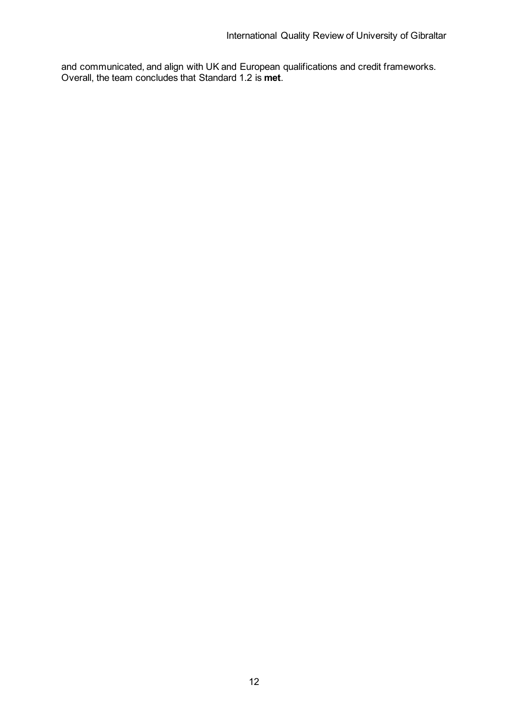and communicated, and align with UK and European qualifications and credit frameworks. Overall, the team concludes that Standard 1.2 is **met**.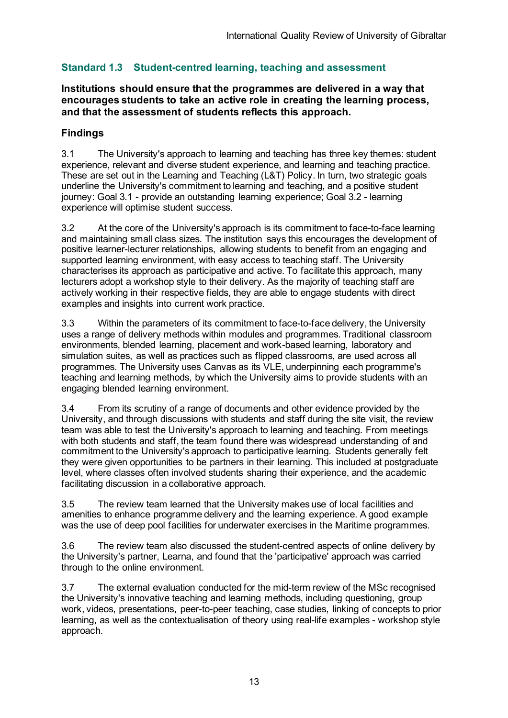## <span id="page-13-0"></span>**Standard 1.3 Student-centred learning, teaching and assessment**

## **Institutions should ensure that the programmes are delivered in a way that encourages students to take an active role in creating the learning process, and that the assessment of students reflects this approach.**

## **Findings**

3.1 The University's approach to learning and teaching has three key themes: student experience, relevant and diverse student experience, and learning and teaching practice. These are set out in the Learning and Teaching (L&T) Policy. In turn, two strategic goals underline the University's commitment to learning and teaching, and a positive student journey: Goal 3.1 - provide an outstanding learning experience; Goal 3.2 - learning experience will optimise student success.

3.2 At the core of the University's approach is its commitment to face-to-face learning and maintaining small class sizes. The institution says this encourages the development of positive learner-lecturer relationships, allowing students to benefit from an engaging and supported learning environment, with easy access to teaching staff. The University characterises its approach as participative and active. To facilitate this approach, many lecturers adopt a workshop style to their delivery. As the majority of teaching staff are actively working in their respective fields, they are able to engage students with direct examples and insights into current work practice.

3.3 Within the parameters of its commitment to face-to-face delivery, the University uses a range of delivery methods within modules and programmes. Traditional classroom environments, blended learning, placement and work-based learning, laboratory and simulation suites, as well as practices such as flipped classrooms, are used across all programmes. The University uses Canvas as its VLE, underpinning each programme's teaching and learning methods, by which the University aims to provide students with an engaging blended learning environment.

3.4 From its scrutiny of a range of documents and other evidence provided by the University, and through discussions with students and staff during the site visit, the review team was able to test the University's approach to learning and teaching. From meetings with both students and staff, the team found there was widespread understanding of and commitment to the University's approach to participative learning. Students generally felt they were given opportunities to be partners in their learning. This included at postgraduate level, where classes often involved students sharing their experience, and the academic facilitating discussion in a collaborative approach.

3.5 The review team learned that the University makes use of local facilities and amenities to enhance programme delivery and the learning experience. A good example was the use of deep pool facilities for underwater exercises in the Maritime programmes.

3.6 The review team also discussed the student-centred aspects of online delivery by the University's partner, Learna, and found that the 'participative' approach was carried through to the online environment.

3.7 The external evaluation conducted for the mid-term review of the MSc recognised the University's innovative teaching and learning methods, including questioning, group work, videos, presentations, peer-to-peer teaching, case studies, linking of concepts to prior learning, as well as the contextualisation of theory using real-life examples - workshop style approach.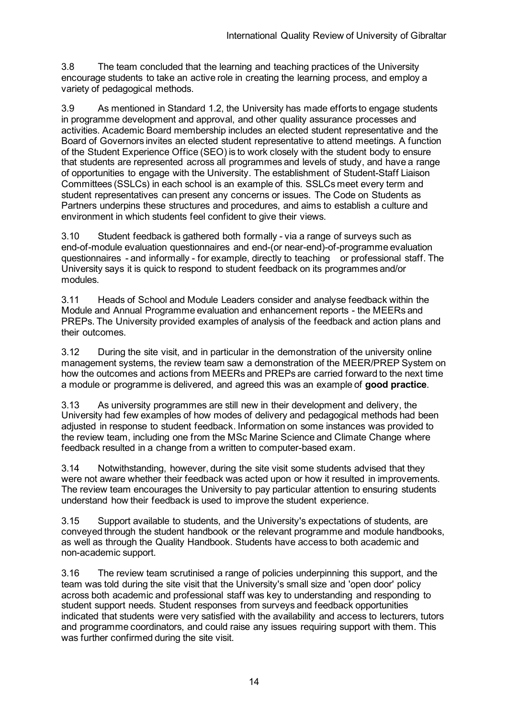3.8 The team concluded that the learning and teaching practices of the University encourage students to take an active role in creating the learning process, and employ a variety of pedagogical methods.

3.9 As mentioned in Standard 1.2, the University has made efforts to engage students in programme development and approval, and other quality assurance processes and activities. Academic Board membership includes an elected student representative and the Board of Governors invites an elected student representative to attend meetings. A function of the Student Experience Office (SEO) is to work closely with the student body to ensure that students are represented across all programmes and levels of study, and have a range of opportunities to engage with the University. The establishment of Student-Staff Liaison Committees (SSLCs) in each school is an example of this. SSLCs meet every term and student representatives can present any concerns or issues. The Code on Students as Partners underpins these structures and procedures, and aims to establish a culture and environment in which students feel confident to give their views.

3.10 Student feedback is gathered both formally - via a range of surveys such as end-of-module evaluation questionnaires and end-(or near-end)-of-programme evaluation questionnaires - and informally - for example, directly to teaching or professional staff. The University says it is quick to respond to student feedback on its programmes and/or modules.

3.11 Heads of School and Module Leaders consider and analyse feedback within the Module and Annual Programme evaluation and enhancement reports - the MEERs and PREPs. The University provided examples of analysis of the feedback and action plans and their outcomes.

3.12 During the site visit, and in particular in the demonstration of the university online management systems, the review team saw a demonstration of the MEER/PREP System on how the outcomes and actions from MEERs and PREPs are carried forward to the next time a module or programme is delivered, and agreed this was an example of **good practice**.

3.13 As university programmes are still new in their development and delivery, the University had few examples of how modes of delivery and pedagogical methods had been adjusted in response to student feedback. Information on some instances was provided to the review team, including one from the MSc Marine Science and Climate Change where feedback resulted in a change from a written to computer-based exam.

3.14 Notwithstanding, however, during the site visit some students advised that they were not aware whether their feedback was acted upon or how it resulted in improvements. The review team encourages the University to pay particular attention to ensuring students understand how their feedback is used to improve the student experience.

3.15 Support available to students, and the University's expectations of students, are conveyed through the student handbook or the relevant programme and module handbooks, as well as through the Quality Handbook. Students have access to both academic and non-academic support.

3.16 The review team scrutinised a range of policies underpinning this support, and the team was told during the site visit that the University's small size and 'open door' policy across both academic and professional staff was key to understanding and responding to student support needs. Student responses from surveys and feedback opportunities indicated that students were very satisfied with the availability and access to lecturers, tutors and programme coordinators, and could raise any issues requiring support with them. This was further confirmed during the site visit.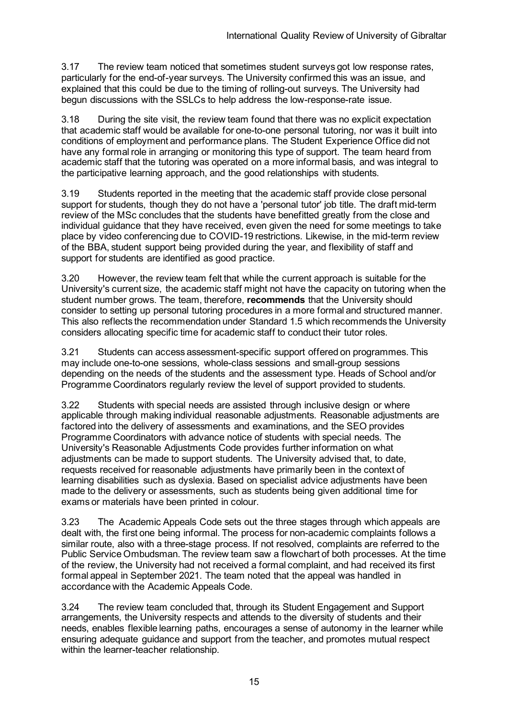3.17 The review team noticed that sometimes student surveys got low response rates, particularly for the end-of-year surveys. The University confirmed this was an issue, and explained that this could be due to the timing of rolling-out surveys. The University had begun discussions with the SSLCs to help address the low-response-rate issue.

3.18 During the site visit, the review team found that there was no explicit expectation that academic staff would be available for one-to-one personal tutoring, nor was it built into conditions of employment and performance plans. The Student Experience Office did not have any formal role in arranging or monitoring this type of support. The team heard from academic staff that the tutoring was operated on a more informal basis, and was integral to the participative learning approach, and the good relationships with students.

3.19 Students reported in the meeting that the academic staff provide close personal support for students, though they do not have a 'personal tutor' job title. The draft mid-term review of the MSc concludes that the students have benefitted greatly from the close and individual guidance that they have received, even given the need for some meetings to take place by video conferencing due to COVID-19 restrictions. Likewise, in the mid-term review of the BBA, student support being provided during the year, and flexibility of staff and support for students are identified as good practice.

3.20 However, the review team felt that while the current approach is suitable for the University's current size, the academic staff might not have the capacity on tutoring when the student number grows. The team, therefore, **recommends** that the University should consider to setting up personal tutoring procedures in a more formal and structured manner. This also reflects the recommendation under Standard 1.5 which recommends the University considers allocating specific time for academic staff to conduct their tutor roles.

3.21 Students can access assessment-specific support offered on programmes. This may include one-to-one sessions, whole-class sessions and small-group sessions depending on the needs of the students and the assessment type. Heads of School and/or Programme Coordinators regularly review the level of support provided to students.

3.22 Students with special needs are assisted through inclusive design or where applicable through making individual reasonable adjustments. Reasonable adjustments are factored into the delivery of assessments and examinations, and the SEO provides Programme Coordinators with advance notice of students with special needs. The University's Reasonable Adjustments Code provides further information on what adjustments can be made to support students. The University advised that, to date, requests received for reasonable adjustments have primarily been in the context of learning disabilities such as dyslexia. Based on specialist advice adjustments have been made to the delivery or assessments, such as students being given additional time for exams or materials have been printed in colour.

3.23 The Academic Appeals Code sets out the three stages through which appeals are dealt with, the first one being informal. The process for non-academic complaints follows a similar route, also with a three-stage process. If not resolved, complaints are referred to the Public Service Ombudsman. The review team saw a flowchart of both processes. At the time of the review, the University had not received a formal complaint, and had received its first formal appeal in September 2021. The team noted that the appeal was handled in accordance with the Academic Appeals Code.

3.24 The review team concluded that, through its Student Engagement and Support arrangements, the University respects and attends to the diversity of students and their needs, enables flexible learning paths, encourages a sense of autonomy in the learner while ensuring adequate guidance and support from the teacher, and promotes mutual respect within the learner-teacher relationship.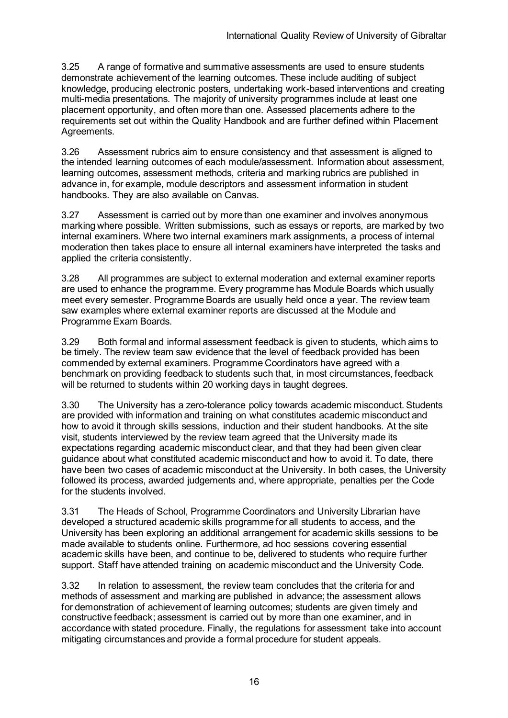3.25 A range of formative and summative assessments are used to ensure students demonstrate achievement of the learning outcomes. These include auditing of subject knowledge, producing electronic posters, undertaking work-based interventions and creating multi-media presentations. The majority of university programmes include at least one placement opportunity, and often more than one. Assessed placements adhere to the requirements set out within the Quality Handbook and are further defined within Placement Agreements.

3.26 Assessment rubrics aim to ensure consistency and that assessment is aligned to the intended learning outcomes of each module/assessment. Information about assessment, learning outcomes, assessment methods, criteria and marking rubrics are published in advance in, for example, module descriptors and assessment information in student handbooks. They are also available on Canvas.

3.27 Assessment is carried out by more than one examiner and involves anonymous marking where possible. Written submissions, such as essays or reports, are marked by two internal examiners. Where two internal examiners mark assignments, a process of internal moderation then takes place to ensure all internal examiners have interpreted the tasks and applied the criteria consistently.

3.28 All programmes are subject to external moderation and external examiner reports are used to enhance the programme. Every programme has Module Boards which usually meet every semester. Programme Boards are usually held once a year. The review team saw examples where external examiner reports are discussed at the Module and Programme Exam Boards.

3.29 Both formal and informal assessment feedback is given to students, which aims to be timely. The review team saw evidence that the level of feedback provided has been commended by external examiners. Programme Coordinators have agreed with a benchmark on providing feedback to students such that, in most circumstances, feedback will be returned to students within 20 working days in taught degrees.

3.30 The University has a zero-tolerance policy towards academic misconduct. Students are provided with information and training on what constitutes academic misconduct and how to avoid it through skills sessions, induction and their student handbooks. At the site visit, students interviewed by the review team agreed that the University made its expectations regarding academic misconduct clear, and that they had been given clear guidance about what constituted academic misconduct and how to avoid it. To date, there have been two cases of academic misconduct at the University. In both cases, the University followed its process, awarded judgements and, where appropriate, penalties per the Code for the students involved.

3.31 The Heads of School, Programme Coordinators and University Librarian have developed a structured academic skills programme for all students to access, and the University has been exploring an additional arrangement for academic skills sessions to be made available to students online. Furthermore, ad hoc sessions covering essential academic skills have been, and continue to be, delivered to students who require further support. Staff have attended training on academic misconduct and the University Code.

3.32 In relation to assessment, the review team concludes that the criteria for and methods of assessment and marking are published in advance; the assessment allows for demonstration of achievement of learning outcomes; students are given timely and constructive feedback; assessment is carried out by more than one examiner, and in accordance with stated procedure. Finally, the regulations for assessment take into account mitigating circumstances and provide a formal procedure for student appeals.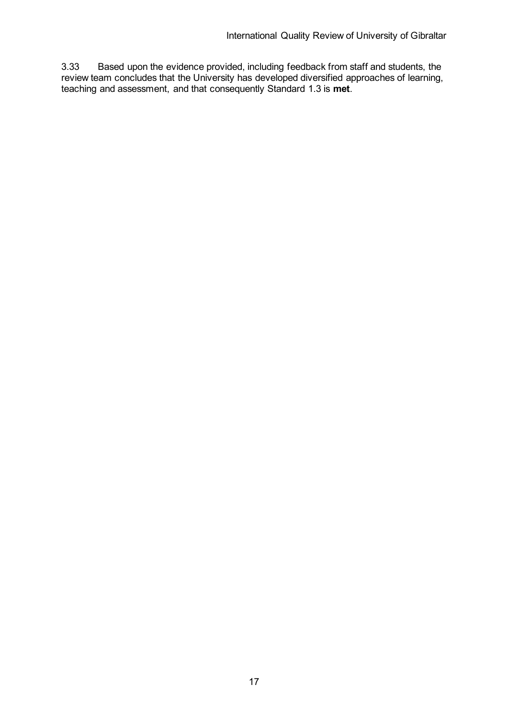3.33 Based upon the evidence provided, including feedback from staff and students, the review team concludes that the University has developed diversified approaches of learning, teaching and assessment, and that consequently Standard 1.3 is **met**.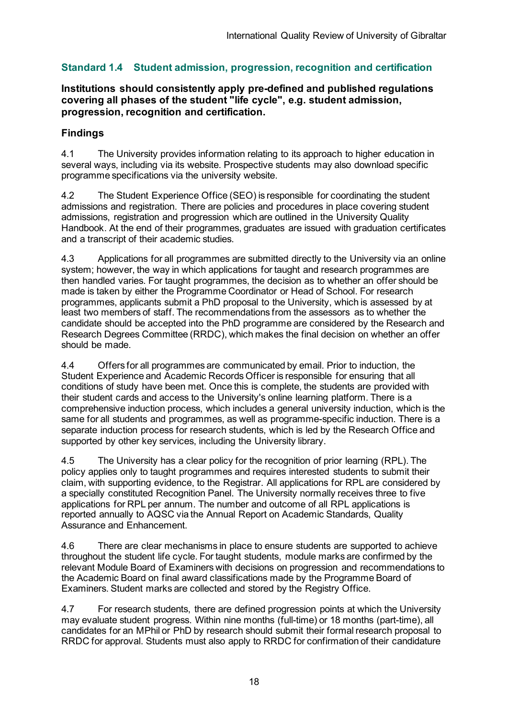## <span id="page-18-0"></span>**Standard 1.4 Student admission, progression, recognition and certification**

**Institutions should consistently apply pre-defined and published regulations covering all phases of the student "life cycle", e.g. student admission, progression, recognition and certification.**

## **Findings**

4.1 The University provides information relating to its approach to higher education in several ways, including via its website. Prospective students may also download specific programme specifications via the university website.

4.2 The Student Experience Office (SEO) is responsible for coordinating the student admissions and registration. There are policies and procedures in place covering student admissions, registration and progression which are outlined in the University Quality Handbook. At the end of their programmes, graduates are issued with graduation certificates and a transcript of their academic studies.

4.3 Applications for all programmes are submitted directly to the University via an online system; however, the way in which applications for taught and research programmes are then handled varies. For taught programmes, the decision as to whether an offer should be made is taken by either the Programme Coordinator or Head of School. For research programmes, applicants submit a PhD proposal to the University, which is assessed by at least two members of staff. The recommendations from the assessors as to whether the candidate should be accepted into the PhD programme are considered by the Research and Research Degrees Committee (RRDC), which makes the final decision on whether an offer should be made.

4.4 Offers for all programmes are communicated by email. Prior to induction, the Student Experience and Academic Records Officer is responsible for ensuring that all conditions of study have been met. Once this is complete, the students are provided with their student cards and access to the University's online learning platform. There is a comprehensive induction process, which includes a general university induction, which is the same for all students and programmes, as well as programme-specific induction. There is a separate induction process for research students, which is led by the Research Office and supported by other key services, including the University library.

4.5 The University has a clear policy for the recognition of prior learning (RPL). The policy applies only to taught programmes and requires interested students to submit their claim, with supporting evidence, to the Registrar. All applications for RPL are considered by a specially constituted Recognition Panel. The University normally receives three to five applications for RPL per annum. The number and outcome of all RPL applications is reported annually to AQSC via the Annual Report on Academic Standards, Quality Assurance and Enhancement.

4.6 There are clear mechanisms in place to ensure students are supported to achieve throughout the student life cycle. For taught students, module marks are confirmed by the relevant Module Board of Examiners with decisions on progression and recommendations to the Academic Board on final award classifications made by the Programme Board of Examiners. Student marks are collected and stored by the Registry Office.

4.7 For research students, there are defined progression points at which the University may evaluate student progress. Within nine months (full-time) or 18 months (part-time), all candidates for an MPhil or PhD by research should submit their formal research proposal to RRDC for approval. Students must also apply to RRDC for confirmation of their candidature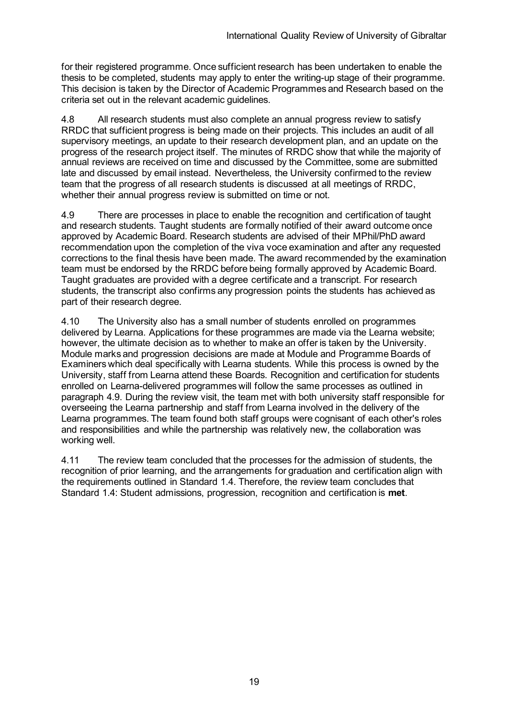for their registered programme. Once sufficient research has been undertaken to enable the thesis to be completed, students may apply to enter the writing-up stage of their programme. This decision is taken by the Director of Academic Programmes and Research based on the criteria set out in the relevant academic guidelines.

4.8 All research students must also complete an annual progress review to satisfy RRDC that sufficient progress is being made on their projects. This includes an audit of all supervisory meetings, an update to their research development plan, and an update on the progress of the research project itself. The minutes of RRDC show that while the majority of annual reviews are received on time and discussed by the Committee, some are submitted late and discussed by email instead. Nevertheless, the University confirmed to the review team that the progress of all research students is discussed at all meetings of RRDC, whether their annual progress review is submitted on time or not.

4.9 There are processes in place to enable the recognition and certification of taught and research students. Taught students are formally notified of their award outcome once approved by Academic Board. Research students are advised of their MPhil/PhD award recommendation upon the completion of the viva voce examination and after any requested corrections to the final thesis have been made. The award recommended by the examination team must be endorsed by the RRDC before being formally approved by Academic Board. Taught graduates are provided with a degree certificate and a transcript. For research students, the transcript also confirms any progression points the students has achieved as part of their research degree.

4.10 The University also has a small number of students enrolled on programmes delivered by Learna. Applications for these programmes are made via the Learna website; however, the ultimate decision as to whether to make an offer is taken by the University. Module marks and progression decisions are made at Module and Programme Boards of Examiners which deal specifically with Learna students. While this process is owned by the University, staff from Learna attend these Boards. Recognition and certification for students enrolled on Learna-delivered programmes will follow the same processes as outlined in paragraph 4.9. During the review visit, the team met with both university staff responsible for overseeing the Learna partnership and staff from Learna involved in the delivery of the Learna programmes. The team found both staff groups were cognisant of each other's roles and responsibilities and while the partnership was relatively new, the collaboration was working well.

4.11 The review team concluded that the processes for the admission of students, the recognition of prior learning, and the arrangements for graduation and certification align with the requirements outlined in Standard 1.4. Therefore, the review team concludes that Standard 1.4: Student admissions, progression, recognition and certification is **met**.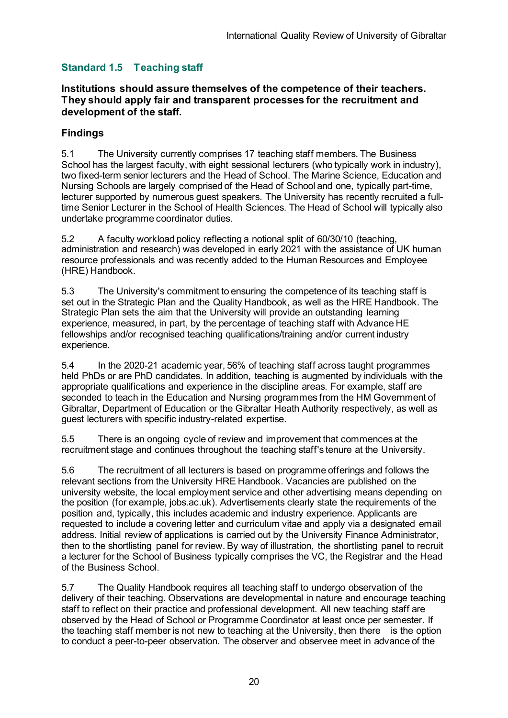## <span id="page-20-0"></span>**Standard 1.5 Teaching staff**

**Institutions should assure themselves of the competence of their teachers. They should apply fair and transparent processes for the recruitment and development of the staff.**

## **Findings**

5.1 The University currently comprises 17 teaching staff members. The Business School has the largest faculty, with eight sessional lecturers (who typically work in industry), two fixed-term senior lecturers and the Head of School. The Marine Science, Education and Nursing Schools are largely comprised of the Head of School and one, typically part-time, lecturer supported by numerous guest speakers. The University has recently recruited a fulltime Senior Lecturer in the School of Health Sciences. The Head of School will typically also undertake programme coordinator duties.

5.2 A faculty workload policy reflecting a notional split of 60/30/10 (teaching, administration and research) was developed in early 2021 with the assistance of UK human resource professionals and was recently added to the Human Resources and Employee (HRE) Handbook.

5.3 The University's commitment to ensuring the competence of its teaching staff is set out in the Strategic Plan and the Quality Handbook, as well as the HRE Handbook. The Strategic Plan sets the aim that the University will provide an outstanding learning experience, measured, in part, by the percentage of teaching staff with Advance HE fellowships and/or recognised teaching qualifications/training and/or current industry experience.

5.4 In the 2020-21 academic year, 56% of teaching staff across taught programmes held PhDs or are PhD candidates. In addition, teaching is augmented by individuals with the appropriate qualifications and experience in the discipline areas. For example, staff are seconded to teach in the Education and Nursing programmes from the HM Government of Gibraltar, Department of Education or the Gibraltar Heath Authority respectively, as well as guest lecturers with specific industry-related expertise.

5.5 There is an ongoing cycle of review and improvement that commences at the recruitment stage and continues throughout the teaching staff's tenure at the University.

5.6 The recruitment of all lecturers is based on programme offerings and follows the relevant sections from the University HRE Handbook. Vacancies are published on the university website, the local employment service and other advertising means depending on the position (for example, jobs.ac.uk). Advertisements clearly state the requirements of the position and, typically, this includes academic and industry experience. Applicants are requested to include a covering letter and curriculum vitae and apply via a designated email address. Initial review of applications is carried out by the University Finance Administrator, then to the shortlisting panel for review. By way of illustration, the shortlisting panel to recruit a lecturer for the School of Business typically comprises the VC, the Registrar and the Head of the Business School.

5.7 The Quality Handbook requires all teaching staff to undergo observation of the delivery of their teaching. Observations are developmental in nature and encourage teaching staff to reflect on their practice and professional development. All new teaching staff are observed by the Head of School or Programme Coordinator at least once per semester. If the teaching staff member is not new to teaching at the University, then there is the option to conduct a peer-to-peer observation. The observer and observee meet in advance of the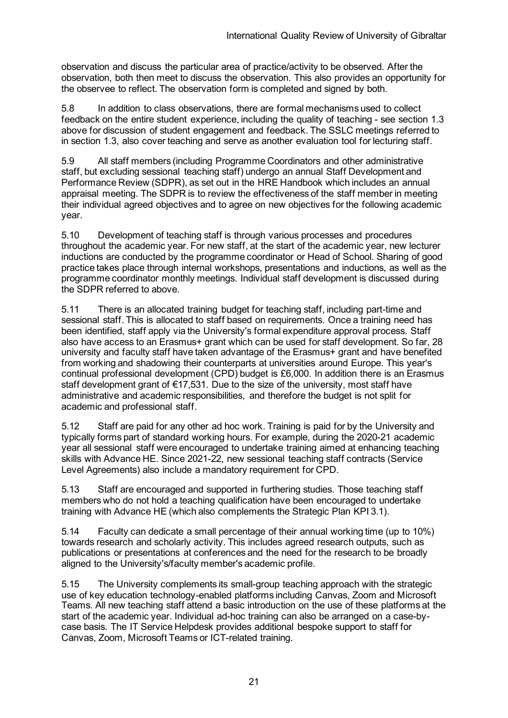observation and discuss the particular area of practice/activity to be observed. After the observation, both then meet to discuss the observation. This also provides an opportunity for the observee to reflect. The observation form is completed and signed by both.

5.8 In addition to class observations, there are formal mechanisms used to collect feedback on the entire student experience, including the quality of teaching - see section 1.3 above for discussion of student engagement and feedback. The SSLC meetings referred to in section 1.3, also cover teaching and serve as another evaluation tool for lecturing staff.

5.9 All staff members (including Programme Coordinators and other administrative staff, but excluding sessional teaching staff) undergo an annual Staff Development and Performance Review (SDPR), as set out in the HRE Handbook which includes an annual appraisal meeting. The SDPR is to review the effectiveness of the staff member in meeting their individual agreed objectives and to agree on new objectives for the following academic year.

5.10 Development of teaching staff is through various processes and procedures throughout the academic year. For new staff, at the start of the academic year, new lecturer inductions are conducted by the programme coordinator or Head of School. Sharing of good practice takes place through internal workshops, presentations and inductions, as well as the programme coordinator monthly meetings. Individual staff development is discussed during the SDPR referred to above.

5.11 There is an allocated training budget for teaching staff, including part-time and sessional staff. This is allocated to staff based on requirements. Once a training need has been identified, staff apply via the University's formal expenditure approval process. Staff also have access to an Erasmus+ grant which can be used for staff development. So far, 28 university and faculty staff have taken advantage of the Erasmus+ grant and have benefited from working and shadowing their counterparts at universities around Europe. This year's continual professional development (CPD) budget is £6,000. In addition there is an Erasmus staff development grant of  $\epsilon$ 17,531. Due to the size of the university, most staff have administrative and academic responsibilities, and therefore the budget is not split for academic and professional staff.

5.12 Staff are paid for any other ad hoc work. Training is paid for by the University and typically forms part of standard working hours. For example, during the 2020-21 academic year all sessional staff were encouraged to undertake training aimed at enhancing teaching skills with Advance HE. Since 2021-22, new sessional teaching staff contracts (Service Level Agreements) also include a mandatory requirement for CPD.

5.13 Staff are encouraged and supported in furthering studies. Those teaching staff members who do not hold a teaching qualification have been encouraged to undertake training with Advance HE (which also complements the Strategic Plan KPI 3.1).

5.14 Faculty can dedicate a small percentage of their annual working time (up to 10%) towards research and scholarly activity. This includes agreed research outputs, such as publications or presentations at conferences and the need for the research to be broadly aligned to the University's/faculty member's academic profile.

5.15 The University complements its small-group teaching approach with the strategic use of key education technology-enabled platforms including Canvas, Zoom and Microsoft Teams. All new teaching staff attend a basic introduction on the use of these platforms at the start of the academic year. Individual ad-hoc training can also be arranged on a case-bycase basis. The IT Service Helpdesk provides additional bespoke support to staff for Canvas, Zoom, Microsoft Teams or ICT-related training.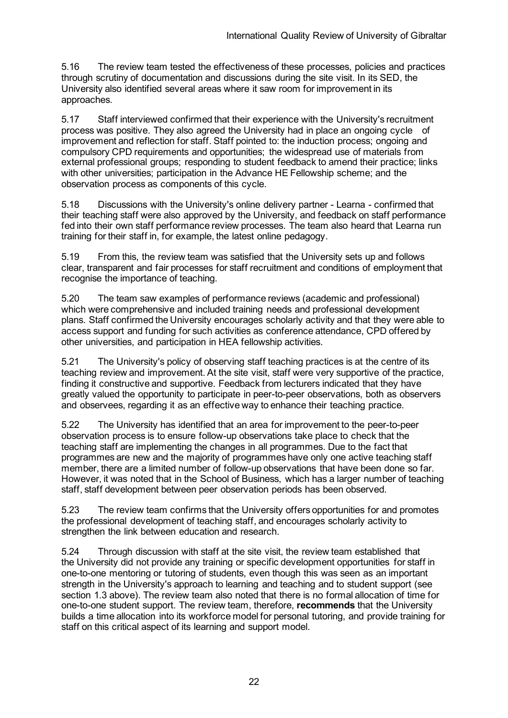5.16 The review team tested the effectiveness of these processes, policies and practices through scrutiny of documentation and discussions during the site visit. In its SED, the University also identified several areas where it saw room for improvement in its approaches.

5.17 Staff interviewed confirmed that their experience with the University's recruitment process was positive. They also agreed the University had in place an ongoing cycle of improvement and reflection for staff. Staff pointed to: the induction process; ongoing and compulsory CPD requirements and opportunities; the widespread use of materials from external professional groups; responding to student feedback to amend their practice; links with other universities; participation in the Advance HE Fellowship scheme; and the observation process as components of this cycle.

5.18 Discussions with the University's online delivery partner - Learna - confirmed that their teaching staff were also approved by the University, and feedback on staff performance fed into their own staff performance review processes. The team also heard that Learna run training for their staff in, for example, the latest online pedagogy.

5.19 From this, the review team was satisfied that the University sets up and follows clear, transparent and fair processes for staff recruitment and conditions of employment that recognise the importance of teaching.

5.20 The team saw examples of performance reviews (academic and professional) which were comprehensive and included training needs and professional development plans. Staff confirmed the University encourages scholarly activity and that they were able to access support and funding for such activities as conference attendance, CPD offered by other universities, and participation in HEA fellowship activities.

5.21 The University's policy of observing staff teaching practices is at the centre of its teaching review and improvement. At the site visit, staff were very supportive of the practice, finding it constructive and supportive. Feedback from lecturers indicated that they have greatly valued the opportunity to participate in peer-to-peer observations, both as observers and observees, regarding it as an effective way to enhance their teaching practice.

5.22 The University has identified that an area for improvement to the peer-to-peer observation process is to ensure follow-up observations take place to check that the teaching staff are implementing the changes in all programmes. Due to the fact that programmes are new and the majority of programmes have only one active teaching staff member, there are a limited number of follow-up observations that have been done so far. However, it was noted that in the School of Business, which has a larger number of teaching staff, staff development between peer observation periods has been observed.

5.23 The review team confirms that the University offers opportunities for and promotes the professional development of teaching staff, and encourages scholarly activity to strengthen the link between education and research.

5.24 Through discussion with staff at the site visit, the review team established that the University did not provide any training or specific development opportunities for staff in one-to-one mentoring or tutoring of students, even though this was seen as an important strength in the University's approach to learning and teaching and to student support (see section 1.3 above). The review team also noted that there is no formal allocation of time for one-to-one student support. The review team, therefore, **recommends** that the University builds a time allocation into its workforce model for personal tutoring, and provide training for staff on this critical aspect of its learning and support model.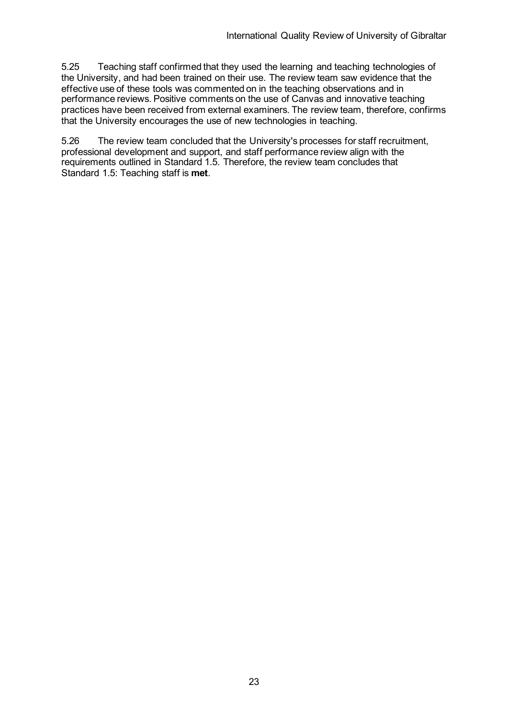5.25 Teaching staff confirmed that they used the learning and teaching technologies of the University, and had been trained on their use. The review team saw evidence that the effective use of these tools was commented on in the teaching observations and in performance reviews. Positive comments on the use of Canvas and innovative teaching practices have been received from external examiners. The review team, therefore, confirms that the University encourages the use of new technologies in teaching.

5.26 The review team concluded that the University's processes for staff recruitment, professional development and support, and staff performance review align with the requirements outlined in Standard 1.5. Therefore, the review team concludes that Standard 1.5: Teaching staff is **met**.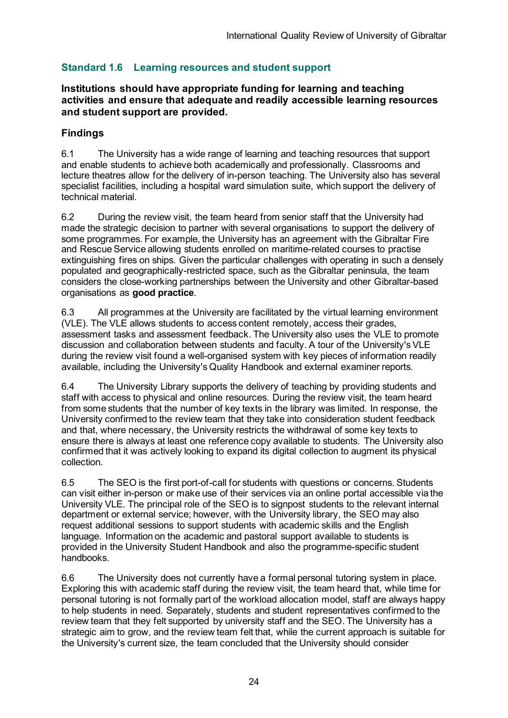## <span id="page-24-0"></span>**Standard 1.6 Learning resources and student support**

## **Institutions should have appropriate funding for learning and teaching activities and ensure that adequate and readily accessible learning resources and student support are provided.**

## **Findings**

6.1 The University has a wide range of learning and teaching resources that support and enable students to achieve both academically and professionally. Classrooms and lecture theatres allow for the delivery of in-person teaching. The University also has several specialist facilities, including a hospital ward simulation suite, which support the delivery of technical material.

6.2 During the review visit, the team heard from senior staff that the University had made the strategic decision to partner with several organisations to support the delivery of some programmes. For example, the University has an agreement with the Gibraltar Fire and Rescue Service allowing students enrolled on maritime-related courses to practise extinguishing fires on ships. Given the particular challenges with operating in such a densely populated and geographically-restricted space, such as the Gibraltar peninsula, the team considers the close-working partnerships between the University and other Gibraltar-based organisations as **good practice**.

6.3 All programmes at the University are facilitated by the virtual learning environment (VLE). The VLE allows students to access content remotely, access their grades, assessment tasks and assessment feedback. The University also uses the VLE to promote discussion and collaboration between students and faculty. A tour of the University's VLE during the review visit found a well-organised system with key pieces of information readily available, including the University's Quality Handbook and external examiner reports.

6.4 The University Library supports the delivery of teaching by providing students and staff with access to physical and online resources. During the review visit, the team heard from some students that the number of key texts in the library was limited. In response, the University confirmed to the review team that they take into consideration student feedback and that, where necessary, the University restricts the withdrawal of some key texts to ensure there is always at least one reference copy available to students. The University also confirmed that it was actively looking to expand its digital collection to augment its physical collection.

6.5 The SEO is the first port-of-call for students with questions or concerns. Students can visit either in-person or make use of their services via an online portal accessible via the University VLE. The principal role of the SEO is to signpost students to the relevant internal department or external service; however, with the University library, the SEO may also request additional sessions to support students with academic skills and the English language. Information on the academic and pastoral support available to students is provided in the University Student Handbook and also the programme-specific student handbooks.

6.6 The University does not currently have a formal personal tutoring system in place. Exploring this with academic staff during the review visit, the team heard that, while time for personal tutoring is not formally part of the workload allocation model, staff are always happy to help students in need. Separately, students and student representatives confirmed to the review team that they felt supported by university staff and the SEO. The University has a strategic aim to grow, and the review team felt that, while the current approach is suitable for the University's current size, the team concluded that the University should consider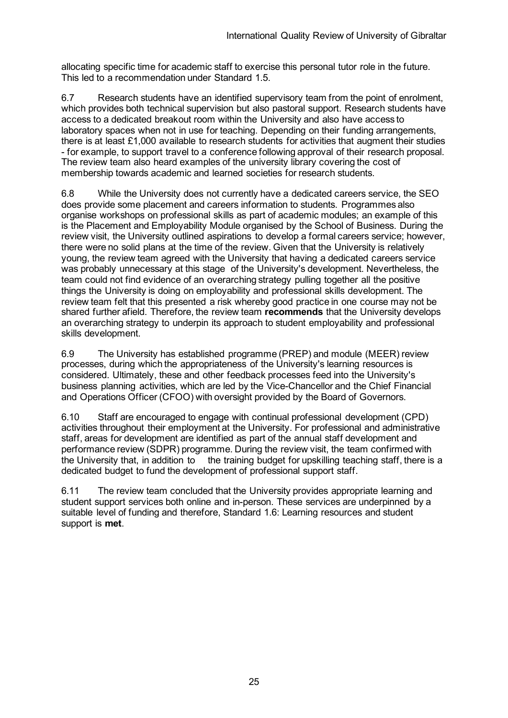allocating specific time for academic staff to exercise this personal tutor role in the future. This led to a recommendation under Standard 1.5.

6.7 Research students have an identified supervisory team from the point of enrolment, which provides both technical supervision but also pastoral support. Research students have access to a dedicated breakout room within the University and also have access to laboratory spaces when not in use for teaching. Depending on their funding arrangements, there is at least £1,000 available to research students for activities that augment their studies - for example, to support travel to a conference following approval of their research proposal. The review team also heard examples of the university library covering the cost of membership towards academic and learned societies for research students.

6.8 While the University does not currently have a dedicated careers service, the SEO does provide some placement and careers information to students. Programmes also organise workshops on professional skills as part of academic modules; an example of this is the Placement and Employability Module organised by the School of Business. During the review visit, the University outlined aspirations to develop a formal careers service; however, there were no solid plans at the time of the review. Given that the University is relatively young, the review team agreed with the University that having a dedicated careers service was probably unnecessary at this stage of the University's development. Nevertheless, the team could not find evidence of an overarching strategy pulling together all the positive things the University is doing on employability and professional skills development. The review team felt that this presented a risk whereby good practice in one course may not be shared further afield. Therefore, the review team **recommends** that the University develops an overarching strategy to underpin its approach to student employability and professional skills development.

6.9 The University has established programme (PREP) and module (MEER) review processes, during which the appropriateness of the University's learning resources is considered. Ultimately, these and other feedback processes feed into the University's business planning activities, which are led by the Vice-Chancellor and the Chief Financial and Operations Officer (CFOO) with oversight provided by the Board of Governors.

6.10 Staff are encouraged to engage with continual professional development (CPD) activities throughout their employment at the University. For professional and administrative staff, areas for development are identified as part of the annual staff development and performance review (SDPR) programme. During the review visit, the team confirmed with the University that, in addition to the training budget for upskilling teaching staff, there is a dedicated budget to fund the development of professional support staff.

6.11 The review team concluded that the University provides appropriate learning and student support services both online and in-person. These services are underpinned by a suitable level of funding and therefore, Standard 1.6: Learning resources and student support is **met**.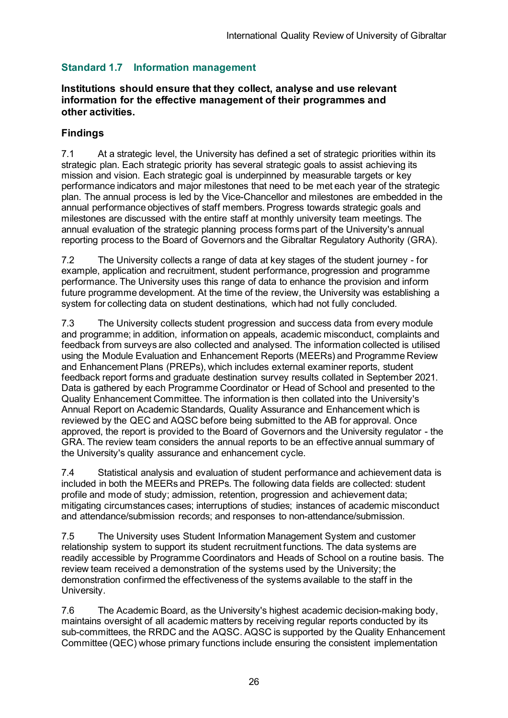## <span id="page-26-0"></span>**Standard 1.7 Information management**

**Institutions should ensure that they collect, analyse and use relevant information for the effective management of their programmes and other activities.**

## **Findings**

7.1 At a strategic level, the University has defined a set of strategic priorities within its strategic plan. Each strategic priority has several strategic goals to assist achieving its mission and vision. Each strategic goal is underpinned by measurable targets or key performance indicators and major milestones that need to be met each year of the strategic plan. The annual process is led by the Vice-Chancellor and milestones are embedded in the annual performance objectives of staff members. Progress towards strategic goals and milestones are discussed with the entire staff at monthly university team meetings. The annual evaluation of the strategic planning process forms part of the University's annual reporting process to the Board of Governors and the Gibraltar Regulatory Authority (GRA).

7.2 The University collects a range of data at key stages of the student journey - for example, application and recruitment, student performance, progression and programme performance. The University uses this range of data to enhance the provision and inform future programme development. At the time of the review, the University was establishing a system for collecting data on student destinations, which had not fully concluded.

7.3 The University collects student progression and success data from every module and programme; in addition, information on appeals, academic misconduct, complaints and feedback from surveys are also collected and analysed. The information collected is utilised using the Module Evaluation and Enhancement Reports (MEERs) and Programme Review and Enhancement Plans (PREPs), which includes external examiner reports, student feedback report forms and graduate destination survey results collated in September 2021. Data is gathered by each Programme Coordinator or Head of School and presented to the Quality Enhancement Committee. The information is then collated into the University's Annual Report on Academic Standards, Quality Assurance and Enhancement which is reviewed by the QEC and AQSC before being submitted to the AB for approval. Once approved, the report is provided to the Board of Governors and the University regulator - the GRA. The review team considers the annual reports to be an effective annual summary of the University's quality assurance and enhancement cycle.

7.4 Statistical analysis and evaluation of student performance and achievement data is included in both the MEERs and PREPs. The following data fields are collected: student profile and mode of study; admission, retention, progression and achievement data; mitigating circumstances cases; interruptions of studies; instances of academic misconduct and attendance/submission records; and responses to non-attendance/submission.

7.5 The University uses Student Information Management System and customer relationship system to support its student recruitment functions. The data systems are readily accessible by Programme Coordinators and Heads of School on a routine basis. The review team received a demonstration of the systems used by the University; the demonstration confirmed the effectiveness of the systems available to the staff in the University.

7.6 The Academic Board, as the University's highest academic decision-making body, maintains oversight of all academic matters by receiving regular reports conducted by its sub-committees, the RRDC and the AQSC. AQSC is supported by the Quality Enhancement Committee (QEC) whose primary functions include ensuring the consistent implementation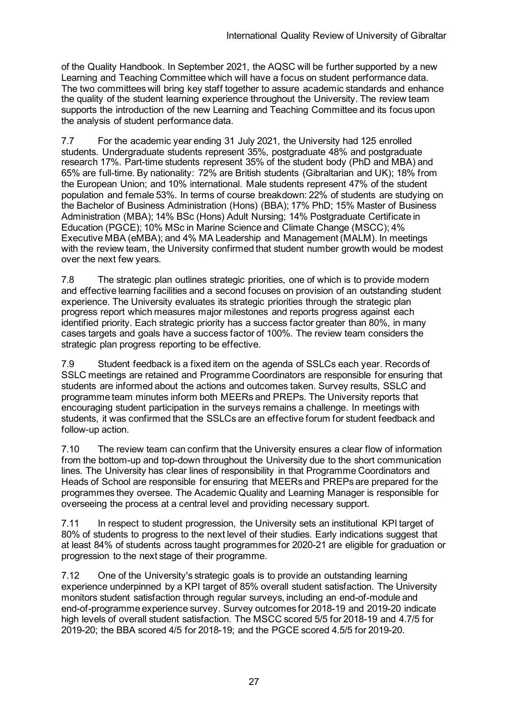of the Quality Handbook. In September 2021, the AQSC will be further supported by a new Learning and Teaching Committee which will have a focus on student performance data. The two committees will bring key staff together to assure academic standards and enhance the quality of the student learning experience throughout the University. The review team supports the introduction of the new Learning and Teaching Committee and its focus upon the analysis of student performance data.

7.7 For the academic year ending 31 July 2021, the University had 125 enrolled students. Undergraduate students represent 35%, postgraduate 48% and postgraduate research 17%. Part-time students represent 35% of the student body (PhD and MBA) and 65% are full-time. By nationality: 72% are British students (Gibraltarian and UK); 18% from the European Union; and 10% international. Male students represent 47% of the student population and female 53%. In terms of course breakdown: 22% of students are studying on the Bachelor of Business Administration (Hons) (BBA); 17% PhD; 15% Master of Business Administration (MBA); 14% BSc (Hons) Adult Nursing; 14% Postgraduate Certificate in Education (PGCE); 10% MSc in Marine Science and Climate Change (MSCC); 4% Executive MBA (eMBA); and 4% MA Leadership and Management (MALM). In meetings with the review team, the University confirmed that student number growth would be modest over the next few years.

7.8 The strategic plan outlines strategic priorities, one of which is to provide modern and effective learning facilities and a second focuses on provision of an outstanding student experience. The University evaluates its strategic priorities through the strategic plan progress report which measures major milestones and reports progress against each identified priority. Each strategic priority has a success factor greater than 80%, in many cases targets and goals have a success factor of 100%. The review team considers the strategic plan progress reporting to be effective.

7.9 Student feedback is a fixed item on the agenda of SSLCs each year. Records of SSLC meetings are retained and Programme Coordinators are responsible for ensuring that students are informed about the actions and outcomes taken. Survey results, SSLC and programme team minutes inform both MEERs and PREPs. The University reports that encouraging student participation in the surveys remains a challenge. In meetings with students, it was confirmed that the SSLCs are an effective forum for student feedback and follow-up action.

7.10 The review team can confirm that the University ensures a clear flow of information from the bottom-up and top-down throughout the University due to the short communication lines. The University has clear lines of responsibility in that Programme Coordinators and Heads of School are responsible for ensuring that MEERs and PREPs are prepared for the programmes they oversee. The Academic Quality and Learning Manager is responsible for overseeing the process at a central level and providing necessary support.

7.11 In respect to student progression, the University sets an institutional KPI target of 80% of students to progress to the next level of their studies. Early indications suggest that at least 84% of students across taught programmes for 2020-21 are eligible for graduation or progression to the next stage of their programme.

7.12 One of the University's strategic goals is to provide an outstanding learning experience underpinned by a KPI target of 85% overall student satisfaction. The University monitors student satisfaction through regular surveys, including an end-of-module and end-of-programme experience survey. Survey outcomes for 2018-19 and 2019-20 indicate high levels of overall student satisfaction. The MSCC scored 5/5 for 2018-19 and 4.7/5 for 2019-20; the BBA scored 4/5 for 2018-19; and the PGCE scored 4.5/5 for 2019-20.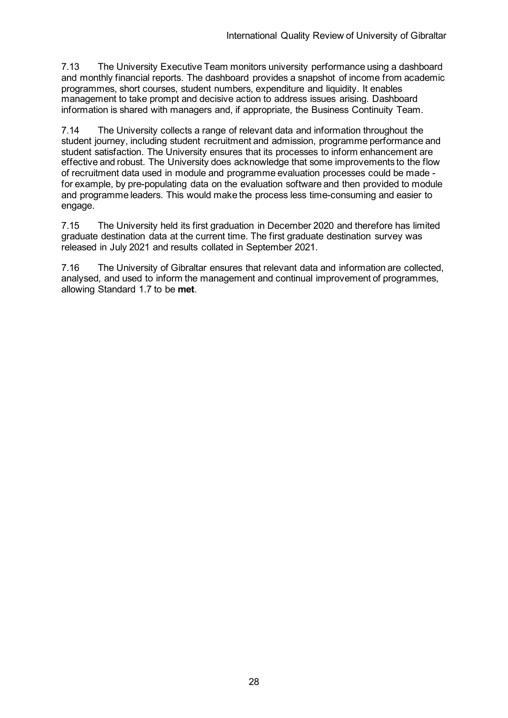7.13 The University Executive Team monitors university performance using a dashboard and monthly financial reports. The dashboard provides a snapshot of income from academic programmes, short courses, student numbers, expenditure and liquidity. It enables management to take prompt and decisive action to address issues arising. Dashboard information is shared with managers and, if appropriate, the Business Continuity Team.

7.14 The University collects a range of relevant data and information throughout the student journey, including student recruitment and admission, programme performance and student satisfaction. The University ensures that its processes to inform enhancement are effective and robust. The University does acknowledge that some improvements to the flow of recruitment data used in module and programme evaluation processes could be made for example, by pre-populating data on the evaluation software and then provided to module and programme leaders. This would make the process less time-consuming and easier to engage.

7.15 The University held its first graduation in December 2020 and therefore has limited graduate destination data at the current time. The first graduate destination survey was released in July 2021 and results collated in September 2021.

7.16 The University of Gibraltar ensures that relevant data and information are collected, analysed, and used to inform the management and continual improvement of programmes, allowing Standard 1.7 to be **met**.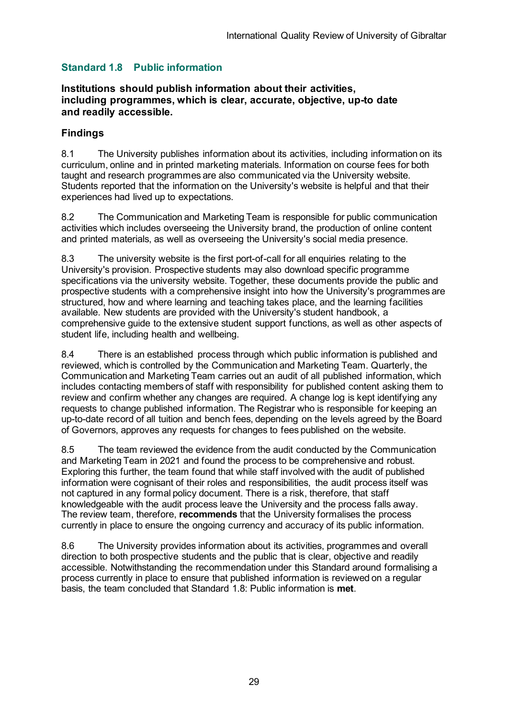## <span id="page-29-0"></span>**Standard 1.8 Public information**

**Institutions should publish information about their activities, including programmes, which is clear, accurate, objective, up-to date and readily accessible.**

## **Findings**

8.1 The University publishes information about its activities, including information on its curriculum, online and in printed marketing materials. Information on course fees for both taught and research programmes are also communicated via the University website. Students reported that the information on the University's website is helpful and that their experiences had lived up to expectations.

8.2 The Communication and Marketing Team is responsible for public communication activities which includes overseeing the University brand, the production of online content and printed materials, as well as overseeing the University's social media presence.

8.3 The university website is the first port-of-call for all enquiries relating to the University's provision. Prospective students may also download specific programme specifications via the university website. Together, these documents provide the public and prospective students with a comprehensive insight into how the University's programmes are structured, how and where learning and teaching takes place, and the learning facilities available. New students are provided with the University's student handbook, a comprehensive guide to the extensive student support functions, as well as other aspects of student life, including health and wellbeing.

8.4 There is an established process through which public information is published and reviewed, which is controlled by the Communication and Marketing Team. Quarterly, the Communication and Marketing Team carries out an audit of all published information, which includes contacting members of staff with responsibility for published content asking them to review and confirm whether any changes are required. A change log is kept identifying any requests to change published information. The Registrar who is responsible for keeping an up-to-date record of all tuition and bench fees, depending on the levels agreed by the Board of Governors, approves any requests for changes to fees published on the website.

8.5 The team reviewed the evidence from the audit conducted by the Communication and Marketing Team in 2021 and found the process to be comprehensive and robust. Exploring this further, the team found that while staff involved with the audit of published information were cognisant of their roles and responsibilities, the audit process itself was not captured in any formal policy document. There is a risk, therefore, that staff knowledgeable with the audit process leave the University and the process falls away. The review team, therefore, **recommends** that the University formalises the process currently in place to ensure the ongoing currency and accuracy of its public information.

8.6 The University provides information about its activities, programmes and overall direction to both prospective students and the public that is clear, objective and readily accessible. Notwithstanding the recommendation under this Standard around formalising a process currently in place to ensure that published information is reviewed on a regular basis, the team concluded that Standard 1.8: Public information is **met**.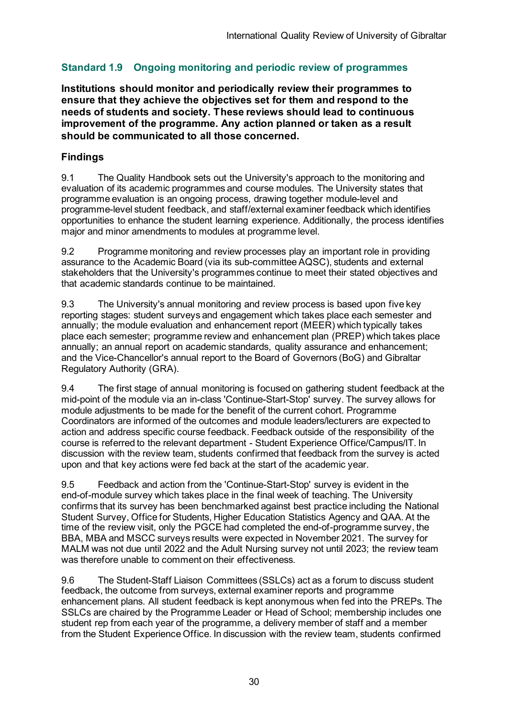## <span id="page-30-0"></span>**Standard 1.9 Ongoing monitoring and periodic review of programmes**

**Institutions should monitor and periodically review their programmes to ensure that they achieve the objectives set for them and respond to the needs of students and society. These reviews should lead to continuous improvement of the programme. Any action planned or taken as a result should be communicated to all those concerned.**

## **Findings**

9.1 The Quality Handbook sets out the University's approach to the monitoring and evaluation of its academic programmes and course modules. The University states that programme evaluation is an ongoing process, drawing together module-level and programme-level student feedback, and staff/external examiner feedback which identifies opportunities to enhance the student learning experience. Additionally, the process identifies major and minor amendments to modules at programme level.

9.2 Programme monitoring and review processes play an important role in providing assurance to the Academic Board (via its sub-committee AQSC), students and external stakeholders that the University's programmes continue to meet their stated objectives and that academic standards continue to be maintained.

9.3 The University's annual monitoring and review process is based upon five key reporting stages: student surveys and engagement which takes place each semester and annually; the module evaluation and enhancement report (MEER) which typically takes place each semester; programme review and enhancement plan (PREP) which takes place annually; an annual report on academic standards, quality assurance and enhancement; and the Vice-Chancellor's annual report to the Board of Governors (BoG) and Gibraltar Regulatory Authority (GRA).

9.4 The first stage of annual monitoring is focused on gathering student feedback at the mid-point of the module via an in-class 'Continue-Start-Stop' survey. The survey allows for module adjustments to be made for the benefit of the current cohort. Programme Coordinators are informed of the outcomes and module leaders/lecturers are expected to action and address specific course feedback. Feedback outside of the responsibility of the course is referred to the relevant department - Student Experience Office/Campus/IT. In discussion with the review team, students confirmed that feedback from the survey is acted upon and that key actions were fed back at the start of the academic year.

9.5 Feedback and action from the 'Continue-Start-Stop' survey is evident in the end-of-module survey which takes place in the final week of teaching. The University confirms that its survey has been benchmarked against best practice including the National Student Survey, Office for Students, Higher Education Statistics Agency and QAA. At the time of the review visit, only the PGCE had completed the end-of-programme survey, the BBA, MBA and MSCC surveys results were expected in November 2021. The survey for MALM was not due until 2022 and the Adult Nursing survey not until 2023; the review team was therefore unable to comment on their effectiveness.

9.6 The Student-Staff Liaison Committees (SSLCs) act as a forum to discuss student feedback, the outcome from surveys, external examiner reports and programme enhancement plans. All student feedback is kept anonymous when fed into the PREPs. The SSLCs are chaired by the Programme Leader or Head of School; membership includes one student rep from each year of the programme, a delivery member of staff and a member from the Student Experience Office. In discussion with the review team, students confirmed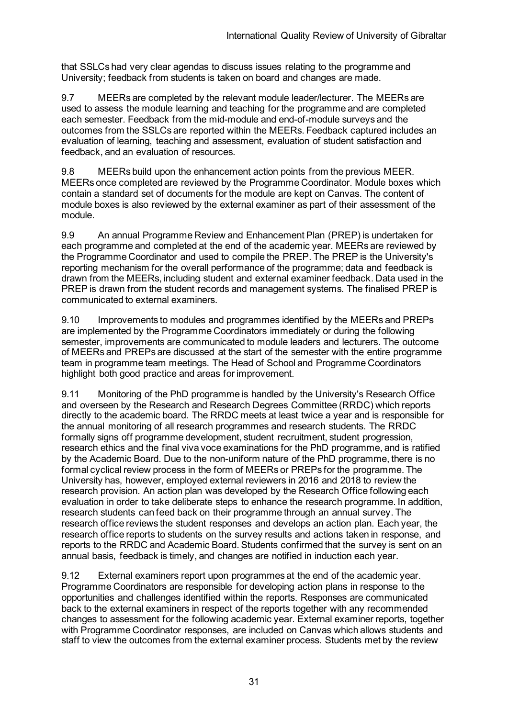that SSLCs had very clear agendas to discuss issues relating to the programme and University; feedback from students is taken on board and changes are made.

9.7 MEERs are completed by the relevant module leader/lecturer. The MEERs are used to assess the module learning and teaching for the programme and are completed each semester. Feedback from the mid-module and end-of-module surveys and the outcomes from the SSLCs are reported within the MEERs. Feedback captured includes an evaluation of learning, teaching and assessment, evaluation of student satisfaction and feedback, and an evaluation of resources.

9.8 MEERs build upon the enhancement action points from the previous MEER. MEERs once completed are reviewed by the Programme Coordinator. Module boxes which contain a standard set of documents for the module are kept on Canvas. The content of module boxes is also reviewed by the external examiner as part of their assessment of the module.

9.9 An annual Programme Review and Enhancement Plan (PREP) is undertaken for each programme and completed at the end of the academic year. MEERs are reviewed by the Programme Coordinator and used to compile the PREP. The PREP is the University's reporting mechanism for the overall performance of the programme; data and feedback is drawn from the MEERs, including student and external examiner feedback. Data used in the PREP is drawn from the student records and management systems. The finalised PREP is communicated to external examiners.

9.10 Improvements to modules and programmes identified by the MEERs and PREPs are implemented by the Programme Coordinators immediately or during the following semester, improvements are communicated to module leaders and lecturers. The outcome of MEERs and PREPs are discussed at the start of the semester with the entire programme team in programme team meetings. The Head of School and Programme Coordinators highlight both good practice and areas for improvement.

9.11 Monitoring of the PhD programme is handled by the University's Research Office and overseen by the Research and Research Degrees Committee (RRDC) which reports directly to the academic board. The RRDC meets at least twice a year and is responsible for the annual monitoring of all research programmes and research students. The RRDC formally signs off programme development, student recruitment, student progression, research ethics and the final viva voce examinations for the PhD programme, and is ratified by the Academic Board. Due to the non-uniform nature of the PhD programme, there is no formal cyclical review process in the form of MEERs or PREPs for the programme. The University has, however, employed external reviewers in 2016 and 2018 to review the research provision. An action plan was developed by the Research Office following each evaluation in order to take deliberate steps to enhance the research programme. In addition, research students can feed back on their programme through an annual survey. The research office reviews the student responses and develops an action plan. Each year, the research office reports to students on the survey results and actions taken in response, and reports to the RRDC and Academic Board. Students confirmed that the survey is sent on an annual basis, feedback is timely, and changes are notified in induction each year.

9.12 External examiners report upon programmes at the end of the academic year. Programme Coordinators are responsible for developing action plans in response to the opportunities and challenges identified within the reports. Responses are communicated back to the external examiners in respect of the reports together with any recommended changes to assessment for the following academic year. External examiner reports, together with Programme Coordinator responses, are included on Canvas which allows students and staff to view the outcomes from the external examiner process. Students met by the review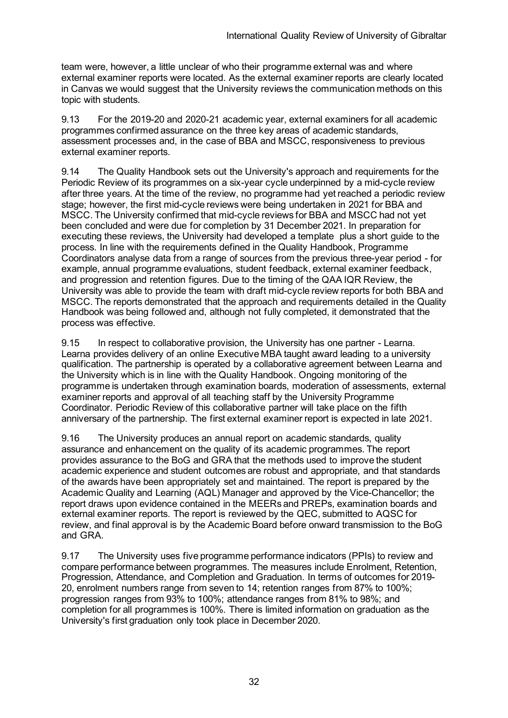team were, however, a little unclear of who their programme external was and where external examiner reports were located. As the external examiner reports are clearly located in Canvas we would suggest that the University reviews the communication methods on this topic with students.

9.13 For the 2019-20 and 2020-21 academic year, external examiners for all academic programmes confirmed assurance on the three key areas of academic standards, assessment processes and, in the case of BBA and MSCC, responsiveness to previous external examiner reports.

9.14 The Quality Handbook sets out the University's approach and requirements for the Periodic Review of its programmes on a six-year cycle underpinned by a mid-cycle review after three years. At the time of the review, no programme had yet reached a periodic review stage; however, the first mid-cycle reviews were being undertaken in 2021 for BBA and MSCC. The University confirmed that mid-cycle reviews for BBA and MSCC had not yet been concluded and were due for completion by 31 December 2021. In preparation for executing these reviews, the University had developed a template plus a short guide to the process. In line with the requirements defined in the Quality Handbook, Programme Coordinators analyse data from a range of sources from the previous three-year period - for example, annual programme evaluations, student feedback, external examiner feedback, and progression and retention figures. Due to the timing of the QAA IQR Review, the University was able to provide the team with draft mid-cycle review reports for both BBA and MSCC. The reports demonstrated that the approach and requirements detailed in the Quality Handbook was being followed and, although not fully completed, it demonstrated that the process was effective.

9.15 In respect to collaborative provision, the University has one partner - Learna. Learna provides delivery of an online Executive MBA taught award leading to a university qualification. The partnership is operated by a collaborative agreement between Learna and the University which is in line with the Quality Handbook. Ongoing monitoring of the programme is undertaken through examination boards, moderation of assessments, external examiner reports and approval of all teaching staff by the University Programme Coordinator. Periodic Review of this collaborative partner will take place on the fifth anniversary of the partnership. The first external examiner report is expected in late 2021.

9.16 The University produces an annual report on academic standards, quality assurance and enhancement on the quality of its academic programmes. The report provides assurance to the BoG and GRA that the methods used to improve the student academic experience and student outcomes are robust and appropriate, and that standards of the awards have been appropriately set and maintained. The report is prepared by the Academic Quality and Learning (AQL) Manager and approved by the Vice-Chancellor; the report draws upon evidence contained in the MEERs and PREPs, examination boards and external examiner reports. The report is reviewed by the QEC, submitted to AQSC for review, and final approval is by the Academic Board before onward transmission to the BoG and GRA.

9.17 The University uses five programme performance indicators (PPIs) to review and compare performance between programmes. The measures include Enrolment, Retention, Progression, Attendance, and Completion and Graduation. In terms of outcomes for 2019- 20, enrolment numbers range from seven to 14; retention ranges from 87% to 100%; progression ranges from 93% to 100%; attendance ranges from 81% to 98%; and completion for all programmes is 100%. There is limited information on graduation as the University's first graduation only took place in December 2020.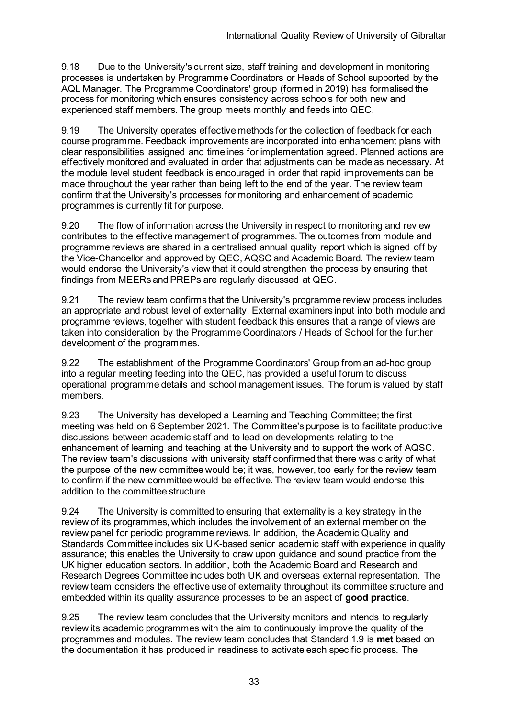9.18 Due to the University's current size, staff training and development in monitoring processes is undertaken by Programme Coordinators or Heads of School supported by the AQL Manager. The Programme Coordinators' group (formed in 2019) has formalised the process for monitoring which ensures consistency across schools for both new and experienced staff members. The group meets monthly and feeds into QEC.

9.19 The University operates effective methods for the collection of feedback for each course programme. Feedback improvements are incorporated into enhancement plans with clear responsibilities assigned and timelines for implementation agreed. Planned actions are effectively monitored and evaluated in order that adjustments can be made as necessary. At the module level student feedback is encouraged in order that rapid improvements can be made throughout the year rather than being left to the end of the year. The review team confirm that the University's processes for monitoring and enhancement of academic programmes is currently fit for purpose.

9.20 The flow of information across the University in respect to monitoring and review contributes to the effective management of programmes. The outcomes from module and programme reviews are shared in a centralised annual quality report which is signed off by the Vice-Chancellor and approved by QEC, AQSC and Academic Board. The review team would endorse the University's view that it could strengthen the process by ensuring that findings from MEERs and PREPs are regularly discussed at QEC.

9.21 The review team confirms that the University's programme review process includes an appropriate and robust level of externality. External examiners input into both module and programme reviews, together with student feedback this ensures that a range of views are taken into consideration by the Programme Coordinators / Heads of School for the further development of the programmes.

9.22 The establishment of the Programme Coordinators' Group from an ad-hoc group into a regular meeting feeding into the QEC, has provided a useful forum to discuss operational programme details and school management issues. The forum is valued by staff members.

9.23 The University has developed a Learning and Teaching Committee; the first meeting was held on 6 September 2021. The Committee's purpose is to facilitate productive discussions between academic staff and to lead on developments relating to the enhancement of learning and teaching at the University and to support the work of AQSC. The review team's discussions with university staff confirmed that there was clarity of what the purpose of the new committee would be; it was, however, too early for the review team to confirm if the new committee would be effective. The review team would endorse this addition to the committee structure.

9.24 The University is committed to ensuring that externality is a key strategy in the review of its programmes, which includes the involvement of an external member on the review panel for periodic programme reviews. In addition, the Academic Quality and Standards Committee includes six UK-based senior academic staff with experience in quality assurance; this enables the University to draw upon guidance and sound practice from the UK higher education sectors. In addition, both the Academic Board and Research and Research Degrees Committee includes both UK and overseas external representation. The review team considers the effective use of externality throughout its committee structure and embedded within its quality assurance processes to be an aspect of **good practice**.

9.25 The review team concludes that the University monitors and intends to regularly review its academic programmes with the aim to continuously improve the quality of the programmes and modules. The review team concludes that Standard 1.9 is **met** based on the documentation it has produced in readiness to activate each specific process. The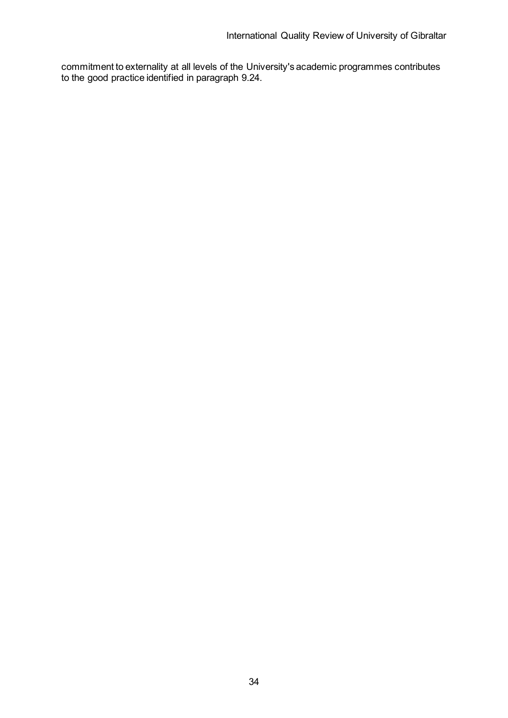commitment to externality at all levels of the University's academic programmes contributes to the good practice identified in paragraph 9.24.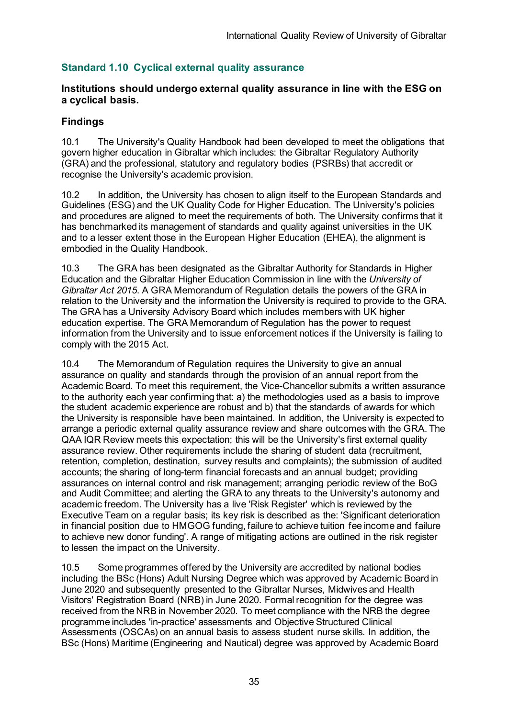## <span id="page-35-0"></span>**Standard 1.10 Cyclical external quality assurance**

## **Institutions should undergo external quality assurance in line with the ESG on a cyclical basis.**

## **Findings**

10.1 The University's Quality Handbook had been developed to meet the obligations that govern higher education in Gibraltar which includes: the Gibraltar Regulatory Authority (GRA) and the professional, statutory and regulatory bodies (PSRBs) that accredit or recognise the University's academic provision.

10.2 In addition, the University has chosen to align itself to the European Standards and Guidelines (ESG) and the UK Quality Code for Higher Education. The University's policies and procedures are aligned to meet the requirements of both. The University confirms that it has benchmarked its management of standards and quality against universities in the UK and to a lesser extent those in the European Higher Education (EHEA), the alignment is embodied in the Quality Handbook.

10.3 The GRA has been designated as the Gibraltar Authority for Standards in Higher Education and the Gibraltar Higher Education Commission in line with the *University of Gibraltar Act 2015*. A GRA Memorandum of Regulation details the powers of the GRA in relation to the University and the information the University is required to provide to the GRA. The GRA has a University Advisory Board which includes members with UK higher education expertise. The GRA Memorandum of Regulation has the power to request information from the University and to issue enforcement notices if the University is failing to comply with the 2015 Act.

10.4 The Memorandum of Regulation requires the University to give an annual assurance on quality and standards through the provision of an annual report from the Academic Board. To meet this requirement, the Vice-Chancellor submits a written assurance to the authority each year confirming that: a) the methodologies used as a basis to improve the student academic experience are robust and b) that the standards of awards for which the University is responsible have been maintained. In addition, the University is expected to arrange a periodic external quality assurance review and share outcomes with the GRA. The QAA IQR Review meets this expectation; this will be the University's first external quality assurance review. Other requirements include the sharing of student data (recruitment, retention, completion, destination, survey results and complaints); the submission of audited accounts; the sharing of long-term financial forecasts and an annual budget; providing assurances on internal control and risk management; arranging periodic review of the BoG and Audit Committee; and alerting the GRA to any threats to the University's autonomy and academic freedom. The University has a live 'Risk Register' which is reviewed by the Executive Team on a regular basis; its key risk is described as the: 'Significant deterioration in financial position due to HMGOG funding, failure to achieve tuition fee income and failure to achieve new donor funding'. A range of mitigating actions are outlined in the risk register to lessen the impact on the University.

10.5 Some programmes offered by the University are accredited by national bodies including the BSc (Hons) Adult Nursing Degree which was approved by Academic Board in June 2020 and subsequently presented to the Gibraltar Nurses, Midwives and Health Visitors' Registration Board (NRB) in June 2020. Formal recognition for the degree was received from the NRB in November 2020. To meet compliance with the NRB the degree programme includes 'in-practice' assessments and Objective Structured Clinical Assessments (OSCAs) on an annual basis to assess student nurse skills. In addition, the BSc (Hons) Maritime (Engineering and Nautical) degree was approved by Academic Board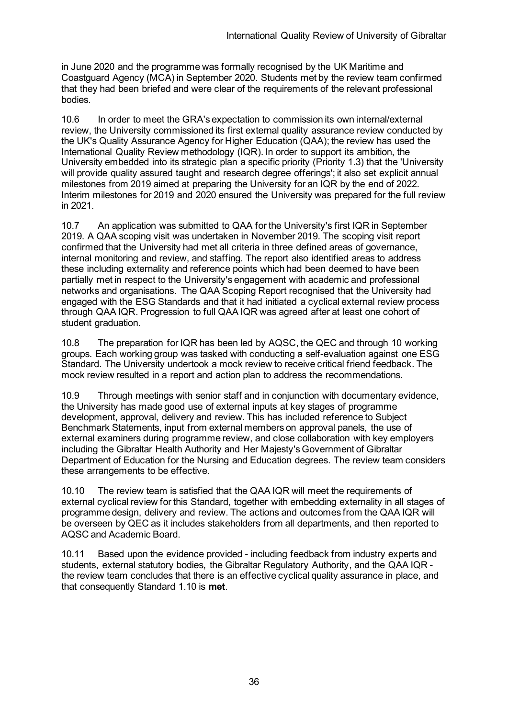in June 2020 and the programme was formally recognised by the UK Maritime and Coastguard Agency (MCA) in September 2020. Students met by the review team confirmed that they had been briefed and were clear of the requirements of the relevant professional bodies.

10.6 In order to meet the GRA's expectation to commission its own internal/external review, the University commissioned its first external quality assurance review conducted by the UK's Quality Assurance Agency for Higher Education (QAA); the review has used the International Quality Review methodology (IQR). In order to support its ambition, the University embedded into its strategic plan a specific priority (Priority 1.3) that the 'University will provide quality assured taught and research degree offerings'; it also set explicit annual milestones from 2019 aimed at preparing the University for an IQR by the end of 2022. Interim milestones for 2019 and 2020 ensured the University was prepared for the full review in 2021.

10.7 An application was submitted to QAA for the University's first IQR in September 2019. A QAA scoping visit was undertaken in November 2019. The scoping visit report confirmed that the University had met all criteria in three defined areas of governance, internal monitoring and review, and staffing. The report also identified areas to address these including externality and reference points which had been deemed to have been partially met in respect to the University's engagement with academic and professional networks and organisations. The QAA Scoping Report recognised that the University had engaged with the ESG Standards and that it had initiated a cyclical external review process through QAA IQR. Progression to full QAA IQR was agreed after at least one cohort of student graduation.

10.8 The preparation for IQR has been led by AQSC, the QEC and through 10 working groups. Each working group was tasked with conducting a self-evaluation against one ESG Standard. The University undertook a mock review to receive critical friend feedback. The mock review resulted in a report and action plan to address the recommendations.

10.9 Through meetings with senior staff and in conjunction with documentary evidence, the University has made good use of external inputs at key stages of programme development, approval, delivery and review. This has included reference to Subject Benchmark Statements, input from external members on approval panels, the use of external examiners during programme review, and close collaboration with key employers including the Gibraltar Health Authority and Her Majesty's Government of Gibraltar Department of Education for the Nursing and Education degrees. The review team considers these arrangements to be effective.

10.10 The review team is satisfied that the QAA IQR will meet the requirements of external cyclical review for this Standard, together with embedding externality in all stages of programme design, delivery and review. The actions and outcomes from the QAA IQR will be overseen by QEC as it includes stakeholders from all departments, and then reported to AQSC and Academic Board.

10.11 Based upon the evidence provided - including feedback from industry experts and students, external statutory bodies, the Gibraltar Regulatory Authority, and the QAA IQR the review team concludes that there is an effective cyclical quality assurance in place, and that consequently Standard 1.10 is **met**.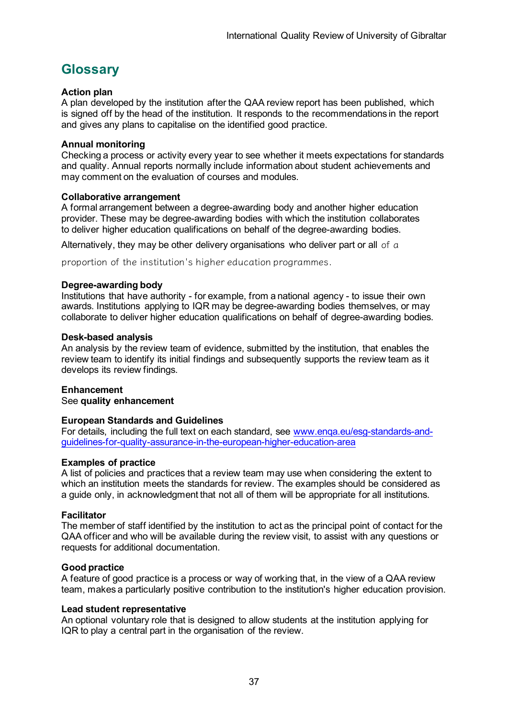# <span id="page-37-0"></span>**Glossary**

#### **Action plan**

A plan developed by the institution after the QAA review report has been published, which is signed off by the head of the institution. It responds to the recommendations in the report and gives any plans to capitalise on the identified good practice.

#### **Annual monitoring**

Checking a process or activity every year to see whether it meets expectations for standards and quality. Annual reports normally include information about student achievements and may comment on the evaluation of courses and modules.

### **Collaborative arrangement**

A formal arrangement between a degree-awarding body and another higher education provider. These may be degree-awarding bodies with which the institution collaborates to deliver higher education qualifications on behalf of the degree-awarding bodies.

Alternatively, they may be other delivery organisations who deliver part or all of  $\alpha$ 

proportion of the institution's higher education programmes.

### **Degree-awarding body**

Institutions that have authority - for example, from a national agency - to issue their own awards. Institutions applying to IQR may be degree-awarding bodies themselves, or may collaborate to deliver higher education qualifications on behalf of degree-awarding bodies.

#### **Desk-based analysis**

An analysis by the review team of evidence, submitted by the institution, that enables the review team to identify its initial findings and subsequently supports the review team as it develops its review findings.

## **Enhancement**

See **quality enhancement**

#### **European Standards and Guidelines**

For details, including the full text on each standard, see [www.enqa.eu/esg-standards-and](http://www.enqa.eu/esg-standards-and-guidelines-for-quality-assurance-in-the-european-higher-education-area)[guidelines-for-quality-assurance-in-the-european-higher-education-area](http://www.enqa.eu/esg-standards-and-guidelines-for-quality-assurance-in-the-european-higher-education-area)

#### **Examples of practice**

A list of policies and practices that a review team may use when considering the extent to which an institution meets the standards for review. The examples should be considered as a guide only, in acknowledgment that not all of them will be appropriate for all institutions.

#### **Facilitator**

The member of staff identified by the institution to act as the principal point of contact for the QAA officer and who will be available during the review visit, to assist with any questions or requests for additional documentation.

#### **Good practice**

A feature of good practice is a process or way of working that, in the view of a QAA review team, makes a particularly positive contribution to the institution's higher education provision.

#### **Lead student representative**

An optional voluntary role that is designed to allow students at the institution applying for IQR to play a central part in the organisation of the review.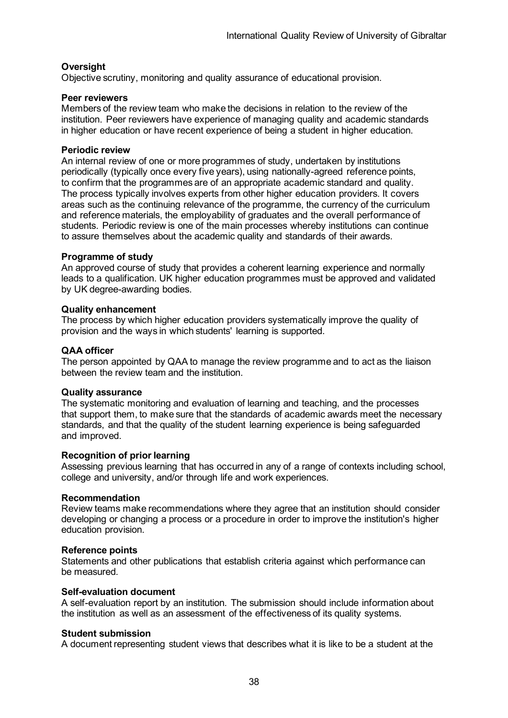#### **Oversight**

Objective scrutiny, monitoring and quality assurance of educational provision.

#### **Peer reviewers**

Members of the review team who make the decisions in relation to the review of the institution. Peer reviewers have experience of managing quality and academic standards in higher education or have recent experience of being a student in higher education.

#### **Periodic review**

An internal review of one or more programmes of study, undertaken by institutions periodically (typically once every five years), using nationally-agreed reference points, to confirm that the programmes are of an appropriate academic standard and quality. The process typically involves experts from other higher education providers. It covers areas such as the continuing relevance of the programme, the currency of the curriculum and reference materials, the employability of graduates and the overall performance of students. Periodic review is one of the main processes whereby institutions can continue to assure themselves about the academic quality and standards of their awards.

#### **Programme of study**

An approved course of study that provides a coherent learning experience and normally leads to a qualification. UK higher education programmes must be approved and validated by UK degree-awarding bodies.

#### **Quality enhancement**

The process by which higher education providers systematically improve the quality of provision and the ways in which students' learning is supported.

#### **QAA officer**

The person appointed by QAA to manage the review programme and to act as the liaison between the review team and the institution.

#### **Quality assurance**

The systematic monitoring and evaluation of learning and teaching, and the processes that support them, to make sure that the standards of academic awards meet the necessary standards, and that the quality of the student learning experience is being safeguarded and improved.

#### **Recognition of prior learning**

Assessing previous learning that has occurred in any of a range of contexts including school, college and university, and/or through life and work experiences.

#### **Recommendation**

Review teams make recommendations where they agree that an institution should consider developing or changing a process or a procedure in order to improve the institution's higher education provision.

#### **Reference points**

Statements and other publications that establish criteria against which performance can be measured.

#### **Self-evaluation document**

A self-evaluation report by an institution. The submission should include information about the institution as well as an assessment of the effectiveness of its quality systems.

#### **Student submission**

A document representing student views that describes what it is like to be a student at the